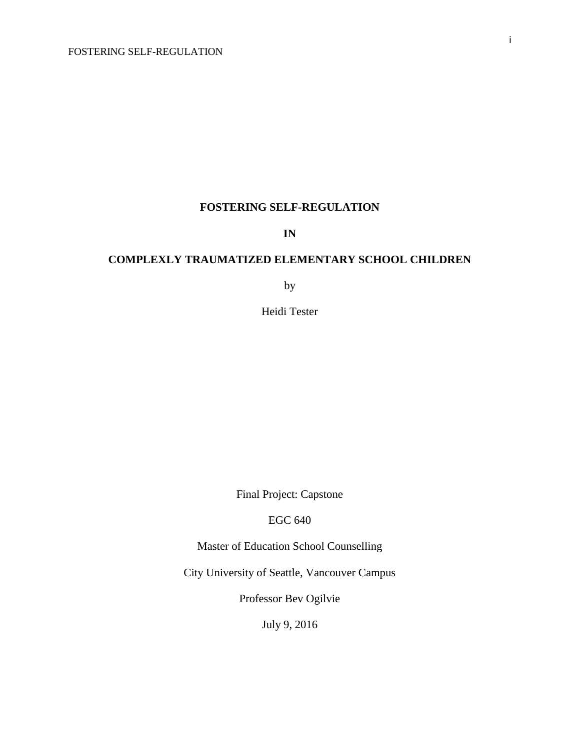## **IN**

## **COMPLEXLY TRAUMATIZED ELEMENTARY SCHOOL CHILDREN**

by

Heidi Tester

Final Project: Capstone

EGC 640

Master of Education School Counselling

City University of Seattle, Vancouver Campus

Professor Bev Ogilvie

July 9, 2016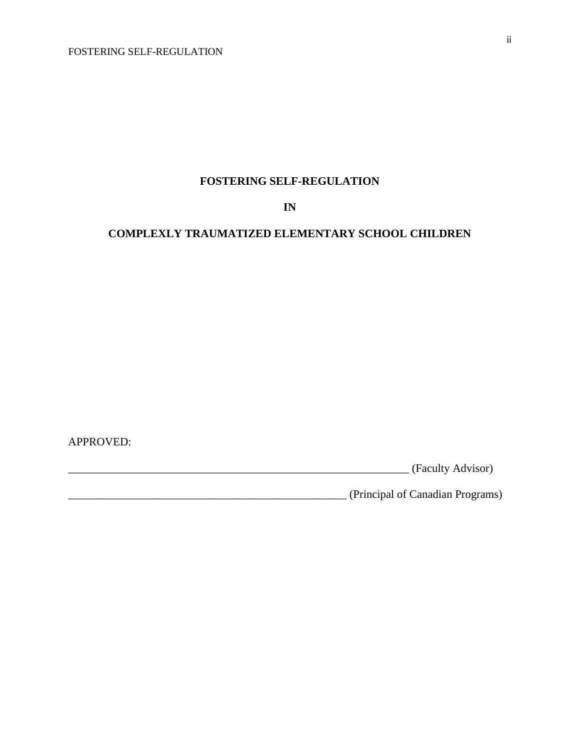**IN** 

## **COMPLEXLY TRAUMATIZED ELEMENTARY SCHOOL CHILDREN**

APPROVED:

\_\_\_\_\_\_\_\_\_\_\_\_\_\_\_\_\_\_\_\_\_\_\_\_\_\_\_\_\_\_\_\_\_\_\_\_\_\_\_\_\_\_\_\_\_\_\_\_\_\_\_\_\_\_\_\_\_\_\_\_ (Faculty Advisor)

\_\_\_\_\_\_\_\_\_\_\_\_\_\_\_\_\_\_\_\_\_\_\_\_\_\_\_\_\_\_\_\_\_\_\_\_\_\_\_\_\_\_\_\_\_\_\_\_\_ (Principal of Canadian Programs)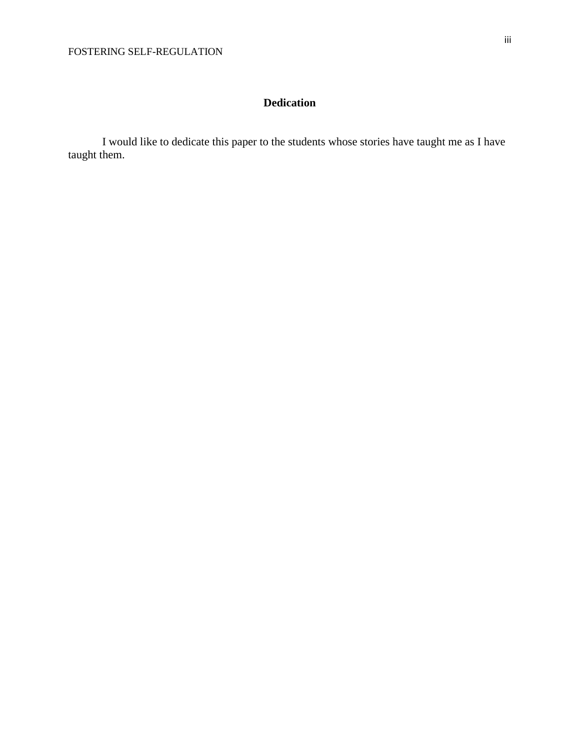## **Dedication**

I would like to dedicate this paper to the students whose stories have taught me as I have taught them.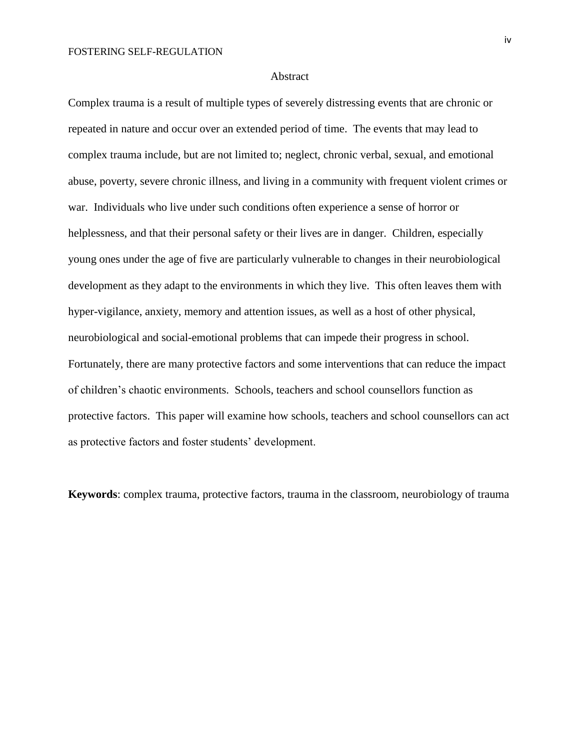#### Abstract

Complex trauma is a result of multiple types of severely distressing events that are chronic or repeated in nature and occur over an extended period of time. The events that may lead to complex trauma include, but are not limited to; neglect, chronic verbal, sexual, and emotional abuse, poverty, severe chronic illness, and living in a community with frequent violent crimes or war. Individuals who live under such conditions often experience a sense of horror or helplessness, and that their personal safety or their lives are in danger. Children, especially young ones under the age of five are particularly vulnerable to changes in their neurobiological development as they adapt to the environments in which they live. This often leaves them with hyper-vigilance, anxiety, memory and attention issues, as well as a host of other physical, neurobiological and social-emotional problems that can impede their progress in school. Fortunately, there are many protective factors and some interventions that can reduce the impact of children's chaotic environments. Schools, teachers and school counsellors function as protective factors. This paper will examine how schools, teachers and school counsellors can act as protective factors and foster students' development.

**Keywords**: complex trauma, protective factors, trauma in the classroom, neurobiology of trauma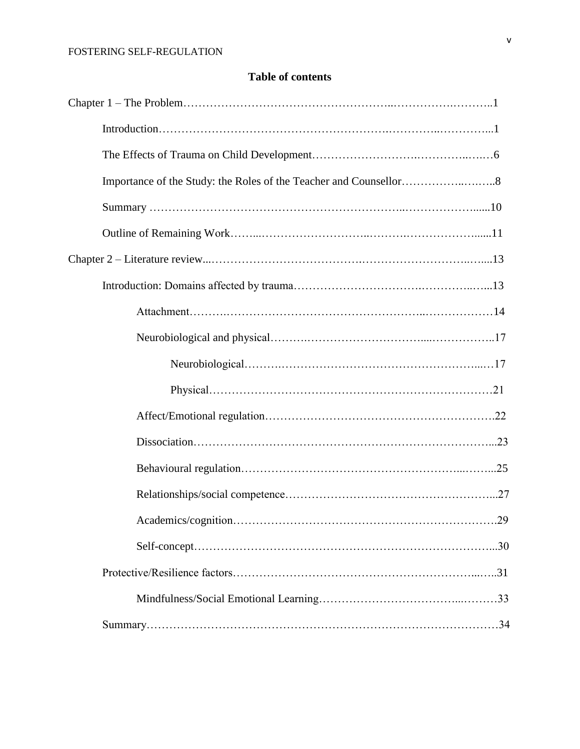## **Table of contents**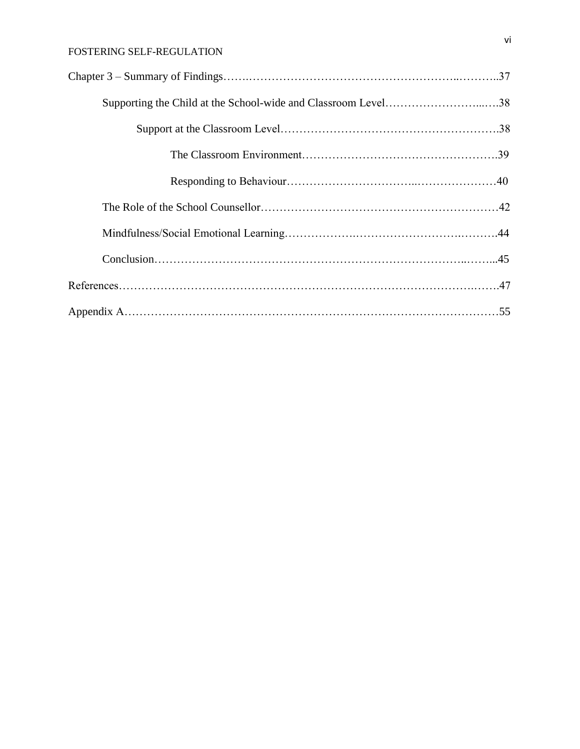| Supporting the Child at the School-wide and Classroom Level38 |  |
|---------------------------------------------------------------|--|
|                                                               |  |
|                                                               |  |
|                                                               |  |
|                                                               |  |
|                                                               |  |
|                                                               |  |
|                                                               |  |
|                                                               |  |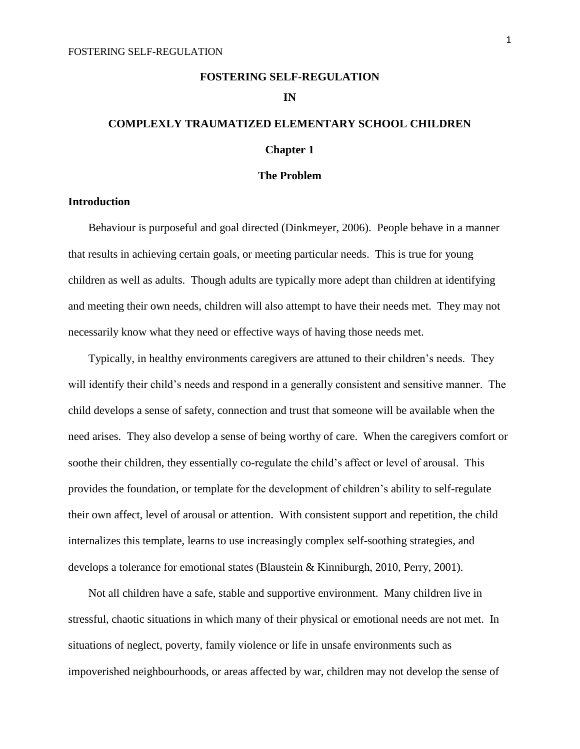## **COMPLEXLY TRAUMATIZED ELEMENTARY SCHOOL CHILDREN Chapter 1**

## **The Problem**

## **Introduction**

Behaviour is purposeful and goal directed (Dinkmeyer, 2006). People behave in a manner that results in achieving certain goals, or meeting particular needs. This is true for young children as well as adults. Though adults are typically more adept than children at identifying and meeting their own needs, children will also attempt to have their needs met. They may not necessarily know what they need or effective ways of having those needs met.

Typically, in healthy environments caregivers are attuned to their children's needs. They will identify their child's needs and respond in a generally consistent and sensitive manner. The child develops a sense of safety, connection and trust that someone will be available when the need arises. They also develop a sense of being worthy of care. When the caregivers comfort or soothe their children, they essentially co-regulate the child's affect or level of arousal. This provides the foundation, or template for the development of children's ability to self-regulate their own affect, level of arousal or attention. With consistent support and repetition, the child internalizes this template, learns to use increasingly complex self-soothing strategies, and develops a tolerance for emotional states (Blaustein & Kinniburgh, 2010, Perry, 2001).

Not all children have a safe, stable and supportive environment. Many children live in stressful, chaotic situations in which many of their physical or emotional needs are not met. In situations of neglect, poverty, family violence or life in unsafe environments such as impoverished neighbourhoods, or areas affected by war, children may not develop the sense of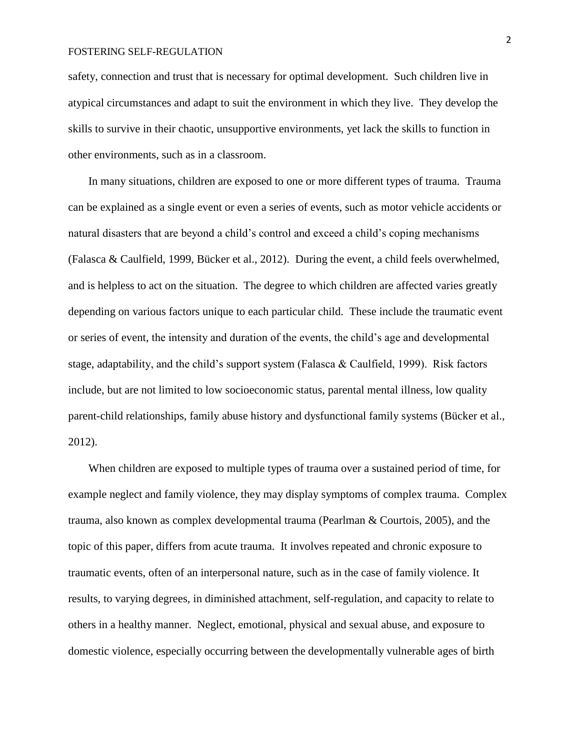safety, connection and trust that is necessary for optimal development. Such children live in atypical circumstances and adapt to suit the environment in which they live. They develop the skills to survive in their chaotic, unsupportive environments, yet lack the skills to function in other environments, such as in a classroom.

In many situations, children are exposed to one or more different types of trauma. Trauma can be explained as a single event or even a series of events, such as motor vehicle accidents or natural disasters that are beyond a child's control and exceed a child's coping mechanisms (Falasca & Caulfield, 1999, Bücker et al., 2012). During the event, a child feels overwhelmed, and is helpless to act on the situation. The degree to which children are affected varies greatly depending on various factors unique to each particular child. These include the traumatic event or series of event, the intensity and duration of the events, the child's age and developmental stage, adaptability, and the child's support system (Falasca & Caulfield, 1999). Risk factors include, but are not limited to low socioeconomic status, parental mental illness, low quality parent-child relationships, family abuse history and dysfunctional family systems (Bücker et al., 2012).

When children are exposed to multiple types of trauma over a sustained period of time, for example neglect and family violence, they may display symptoms of complex trauma. Complex trauma, also known as complex developmental trauma (Pearlman & Courtois, 2005), and the topic of this paper, differs from acute trauma. It involves repeated and chronic exposure to traumatic events, often of an interpersonal nature, such as in the case of family violence. It results, to varying degrees, in diminished attachment, self-regulation, and capacity to relate to others in a healthy manner. Neglect, emotional, physical and sexual abuse, and exposure to domestic violence, especially occurring between the developmentally vulnerable ages of birth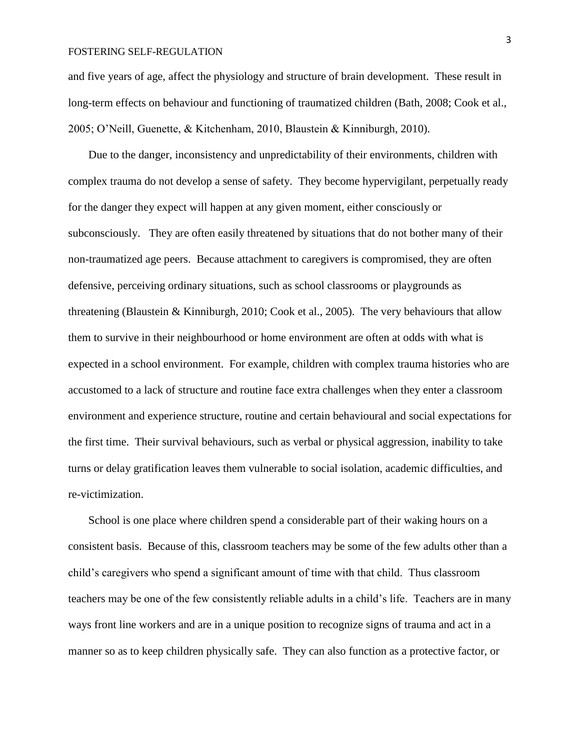and five years of age, affect the physiology and structure of brain development. These result in long-term effects on behaviour and functioning of traumatized children (Bath, 2008; Cook et al., 2005; O'Neill, Guenette, & Kitchenham, 2010, Blaustein & Kinniburgh, 2010).

Due to the danger, inconsistency and unpredictability of their environments, children with complex trauma do not develop a sense of safety. They become hypervigilant, perpetually ready for the danger they expect will happen at any given moment, either consciously or subconsciously. They are often easily threatened by situations that do not bother many of their non-traumatized age peers. Because attachment to caregivers is compromised, they are often defensive, perceiving ordinary situations, such as school classrooms or playgrounds as threatening (Blaustein & Kinniburgh, 2010; Cook et al., 2005). The very behaviours that allow them to survive in their neighbourhood or home environment are often at odds with what is expected in a school environment. For example, children with complex trauma histories who are accustomed to a lack of structure and routine face extra challenges when they enter a classroom environment and experience structure, routine and certain behavioural and social expectations for the first time. Their survival behaviours, such as verbal or physical aggression, inability to take turns or delay gratification leaves them vulnerable to social isolation, academic difficulties, and re-victimization.

School is one place where children spend a considerable part of their waking hours on a consistent basis. Because of this, classroom teachers may be some of the few adults other than a child's caregivers who spend a significant amount of time with that child. Thus classroom teachers may be one of the few consistently reliable adults in a child's life. Teachers are in many ways front line workers and are in a unique position to recognize signs of trauma and act in a manner so as to keep children physically safe. They can also function as a protective factor, or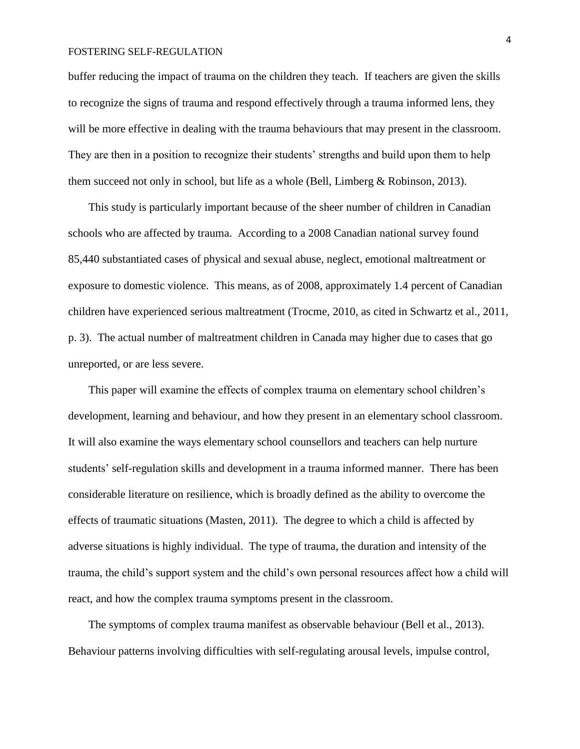buffer reducing the impact of trauma on the children they teach. If teachers are given the skills to recognize the signs of trauma and respond effectively through a trauma informed lens, they will be more effective in dealing with the trauma behaviours that may present in the classroom. They are then in a position to recognize their students' strengths and build upon them to help them succeed not only in school, but life as a whole (Bell, Limberg & Robinson, 2013).

This study is particularly important because of the sheer number of children in Canadian schools who are affected by trauma. According to a 2008 Canadian national survey found 85,440 substantiated cases of physical and sexual abuse, neglect, emotional maltreatment or exposure to domestic violence. This means, as of 2008, approximately 1.4 percent of Canadian children have experienced serious maltreatment (Trocme, 2010, as cited in Schwartz et al., 2011, p. 3). The actual number of maltreatment children in Canada may higher due to cases that go unreported, or are less severe.

This paper will examine the effects of complex trauma on elementary school children's development, learning and behaviour, and how they present in an elementary school classroom. It will also examine the ways elementary school counsellors and teachers can help nurture students' self-regulation skills and development in a trauma informed manner. There has been considerable literature on resilience, which is broadly defined as the ability to overcome the effects of traumatic situations (Masten, 2011). The degree to which a child is affected by adverse situations is highly individual. The type of trauma, the duration and intensity of the trauma, the child's support system and the child's own personal resources affect how a child will react, and how the complex trauma symptoms present in the classroom.

The symptoms of complex trauma manifest as observable behaviour (Bell et al., 2013). Behaviour patterns involving difficulties with self-regulating arousal levels, impulse control,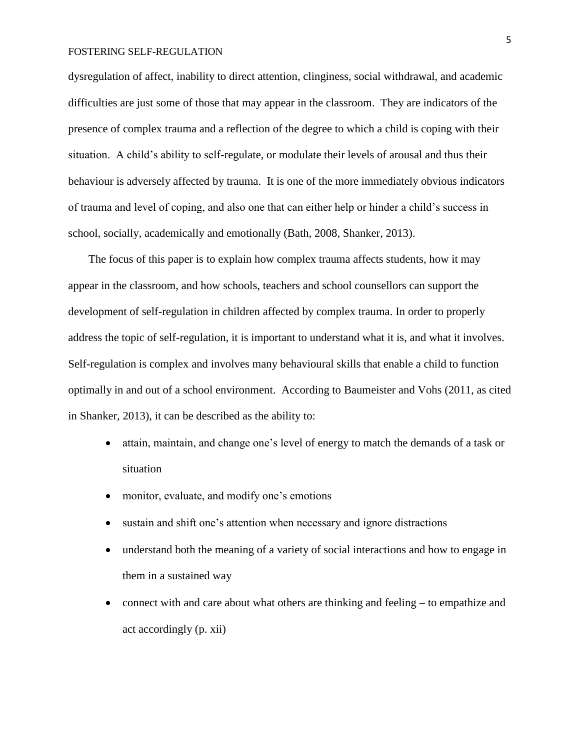dysregulation of affect, inability to direct attention, clinginess, social withdrawal, and academic difficulties are just some of those that may appear in the classroom. They are indicators of the presence of complex trauma and a reflection of the degree to which a child is coping with their situation. A child's ability to self-regulate, or modulate their levels of arousal and thus their behaviour is adversely affected by trauma. It is one of the more immediately obvious indicators of trauma and level of coping, and also one that can either help or hinder a child's success in school, socially, academically and emotionally (Bath, 2008, Shanker, 2013).

The focus of this paper is to explain how complex trauma affects students, how it may appear in the classroom, and how schools, teachers and school counsellors can support the development of self-regulation in children affected by complex trauma. In order to properly address the topic of self-regulation, it is important to understand what it is, and what it involves. Self-regulation is complex and involves many behavioural skills that enable a child to function optimally in and out of a school environment. According to Baumeister and Vohs (2011, as cited in Shanker, 2013), it can be described as the ability to:

- attain, maintain, and change one's level of energy to match the demands of a task or situation
- monitor, evaluate, and modify one's emotions
- sustain and shift one's attention when necessary and ignore distractions
- understand both the meaning of a variety of social interactions and how to engage in them in a sustained way
- connect with and care about what others are thinking and feeling to empathize and act accordingly (p. xii)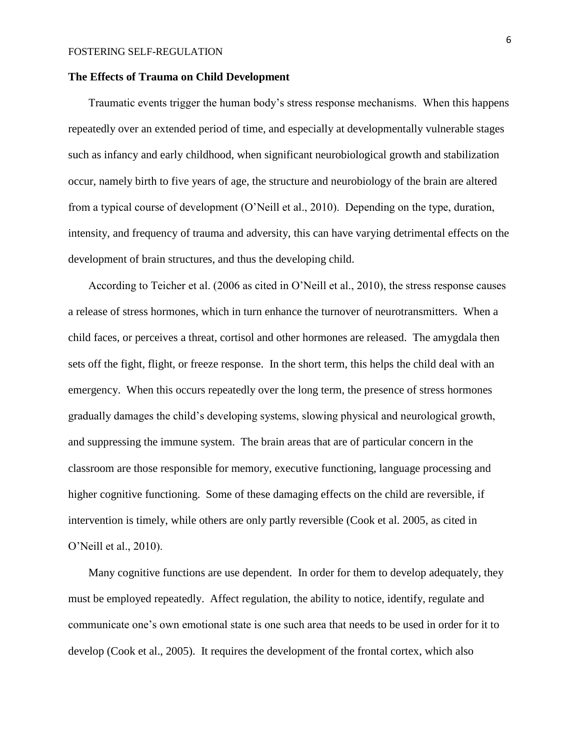## **The Effects of Trauma on Child Development**

Traumatic events trigger the human body's stress response mechanisms. When this happens repeatedly over an extended period of time, and especially at developmentally vulnerable stages such as infancy and early childhood, when significant neurobiological growth and stabilization occur, namely birth to five years of age, the structure and neurobiology of the brain are altered from a typical course of development (O'Neill et al., 2010). Depending on the type, duration, intensity, and frequency of trauma and adversity, this can have varying detrimental effects on the development of brain structures, and thus the developing child.

According to Teicher et al. (2006 as cited in O'Neill et al., 2010), the stress response causes a release of stress hormones, which in turn enhance the turnover of neurotransmitters. When a child faces, or perceives a threat, cortisol and other hormones are released. The amygdala then sets off the fight, flight, or freeze response. In the short term, this helps the child deal with an emergency. When this occurs repeatedly over the long term, the presence of stress hormones gradually damages the child's developing systems, slowing physical and neurological growth, and suppressing the immune system. The brain areas that are of particular concern in the classroom are those responsible for memory, executive functioning, language processing and higher cognitive functioning. Some of these damaging effects on the child are reversible, if intervention is timely, while others are only partly reversible (Cook et al. 2005, as cited in O'Neill et al., 2010).

Many cognitive functions are use dependent. In order for them to develop adequately, they must be employed repeatedly. Affect regulation, the ability to notice, identify, regulate and communicate one's own emotional state is one such area that needs to be used in order for it to develop (Cook et al., 2005). It requires the development of the frontal cortex, which also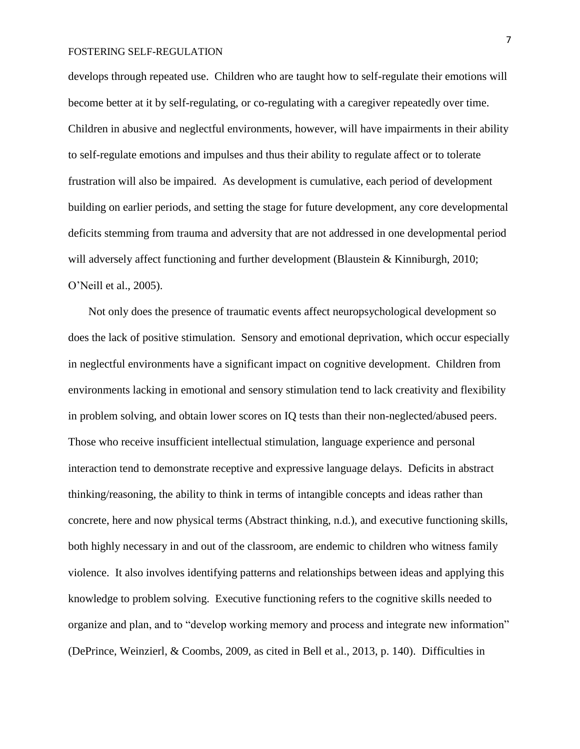develops through repeated use. Children who are taught how to self-regulate their emotions will become better at it by self-regulating, or co-regulating with a caregiver repeatedly over time. Children in abusive and neglectful environments, however, will have impairments in their ability to self-regulate emotions and impulses and thus their ability to regulate affect or to tolerate frustration will also be impaired. As development is cumulative, each period of development building on earlier periods, and setting the stage for future development, any core developmental deficits stemming from trauma and adversity that are not addressed in one developmental period will adversely affect functioning and further development (Blaustein & Kinniburgh, 2010; O'Neill et al., 2005).

Not only does the presence of traumatic events affect neuropsychological development so does the lack of positive stimulation. Sensory and emotional deprivation, which occur especially in neglectful environments have a significant impact on cognitive development. Children from environments lacking in emotional and sensory stimulation tend to lack creativity and flexibility in problem solving, and obtain lower scores on IQ tests than their non-neglected/abused peers. Those who receive insufficient intellectual stimulation, language experience and personal interaction tend to demonstrate receptive and expressive language delays. Deficits in abstract thinking/reasoning, the ability to think in terms of intangible concepts and ideas rather than concrete, here and now physical terms (Abstract thinking, n.d.), and executive functioning skills, both highly necessary in and out of the classroom, are endemic to children who witness family violence. It also involves identifying patterns and relationships between ideas and applying this knowledge to problem solving. Executive functioning refers to the cognitive skills needed to organize and plan, and to "develop working memory and process and integrate new information" (DePrince, Weinzierl, & Coombs, 2009, as cited in Bell et al., 2013, p. 140). Difficulties in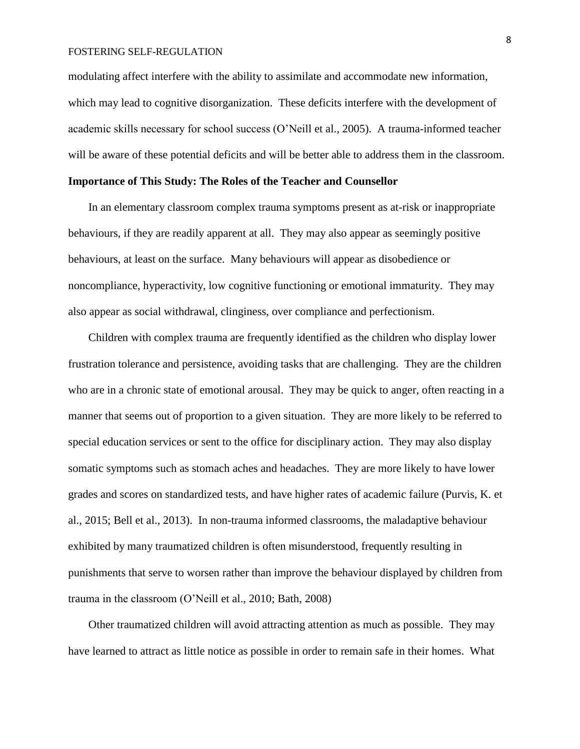modulating affect interfere with the ability to assimilate and accommodate new information, which may lead to cognitive disorganization. These deficits interfere with the development of academic skills necessary for school success (O'Neill et al., 2005). A trauma-informed teacher will be aware of these potential deficits and will be better able to address them in the classroom.

## **Importance of This Study: The Roles of the Teacher and Counsellor**

In an elementary classroom complex trauma symptoms present as at-risk or inappropriate behaviours, if they are readily apparent at all. They may also appear as seemingly positive behaviours, at least on the surface. Many behaviours will appear as disobedience or noncompliance, hyperactivity, low cognitive functioning or emotional immaturity. They may also appear as social withdrawal, clinginess, over compliance and perfectionism.

Children with complex trauma are frequently identified as the children who display lower frustration tolerance and persistence, avoiding tasks that are challenging. They are the children who are in a chronic state of emotional arousal. They may be quick to anger, often reacting in a manner that seems out of proportion to a given situation. They are more likely to be referred to special education services or sent to the office for disciplinary action. They may also display somatic symptoms such as stomach aches and headaches. They are more likely to have lower grades and scores on standardized tests, and have higher rates of academic failure (Purvis, K. et al., 2015; Bell et al., 2013). In non-trauma informed classrooms, the maladaptive behaviour exhibited by many traumatized children is often misunderstood, frequently resulting in punishments that serve to worsen rather than improve the behaviour displayed by children from trauma in the classroom (O'Neill et al., 2010; Bath, 2008)

Other traumatized children will avoid attracting attention as much as possible. They may have learned to attract as little notice as possible in order to remain safe in their homes. What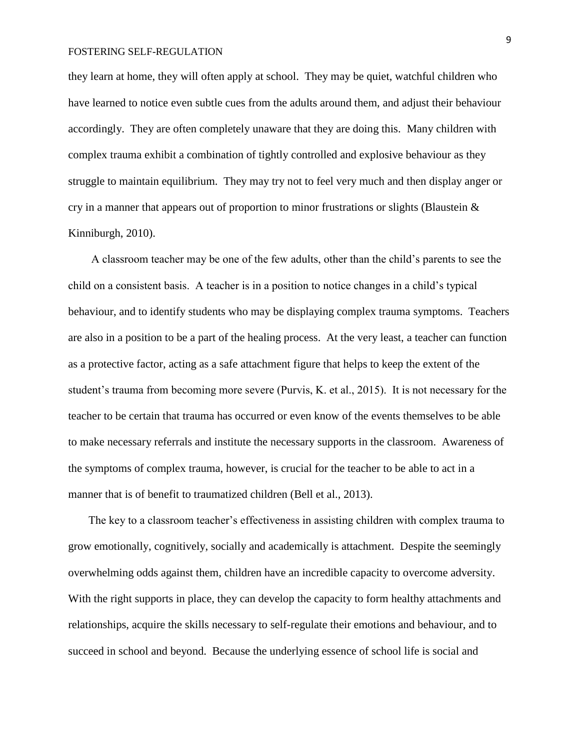they learn at home, they will often apply at school. They may be quiet, watchful children who have learned to notice even subtle cues from the adults around them, and adjust their behaviour accordingly. They are often completely unaware that they are doing this. Many children with complex trauma exhibit a combination of tightly controlled and explosive behaviour as they struggle to maintain equilibrium. They may try not to feel very much and then display anger or cry in a manner that appears out of proportion to minor frustrations or slights (Blaustein & Kinniburgh, 2010).

A classroom teacher may be one of the few adults, other than the child's parents to see the child on a consistent basis. A teacher is in a position to notice changes in a child's typical behaviour, and to identify students who may be displaying complex trauma symptoms. Teachers are also in a position to be a part of the healing process. At the very least, a teacher can function as a protective factor, acting as a safe attachment figure that helps to keep the extent of the student's trauma from becoming more severe (Purvis, K. et al., 2015). It is not necessary for the teacher to be certain that trauma has occurred or even know of the events themselves to be able to make necessary referrals and institute the necessary supports in the classroom. Awareness of the symptoms of complex trauma, however, is crucial for the teacher to be able to act in a manner that is of benefit to traumatized children (Bell et al., 2013).

The key to a classroom teacher's effectiveness in assisting children with complex trauma to grow emotionally, cognitively, socially and academically is attachment. Despite the seemingly overwhelming odds against them, children have an incredible capacity to overcome adversity. With the right supports in place, they can develop the capacity to form healthy attachments and relationships, acquire the skills necessary to self-regulate their emotions and behaviour, and to succeed in school and beyond. Because the underlying essence of school life is social and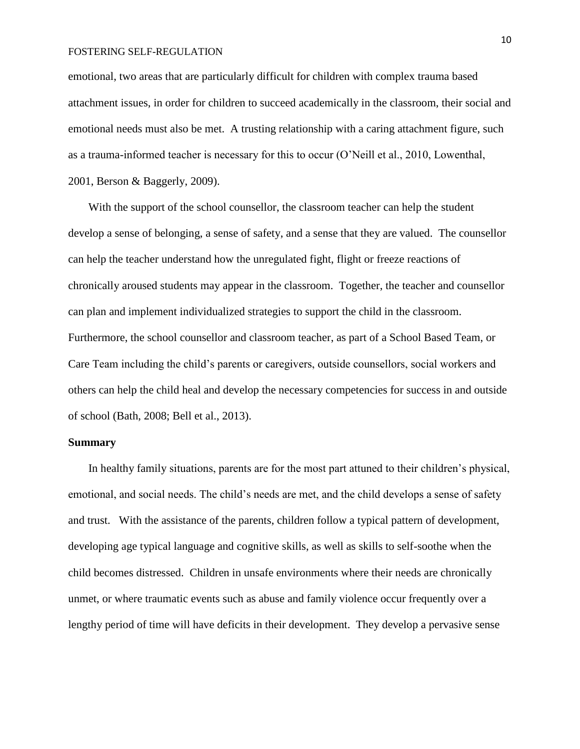emotional, two areas that are particularly difficult for children with complex trauma based attachment issues, in order for children to succeed academically in the classroom, their social and emotional needs must also be met. A trusting relationship with a caring attachment figure, such as a trauma-informed teacher is necessary for this to occur (O'Neill et al., 2010, Lowenthal, 2001, Berson & Baggerly, 2009).

With the support of the school counsellor, the classroom teacher can help the student develop a sense of belonging, a sense of safety, and a sense that they are valued. The counsellor can help the teacher understand how the unregulated fight, flight or freeze reactions of chronically aroused students may appear in the classroom. Together, the teacher and counsellor can plan and implement individualized strategies to support the child in the classroom. Furthermore, the school counsellor and classroom teacher, as part of a School Based Team, or Care Team including the child's parents or caregivers, outside counsellors, social workers and others can help the child heal and develop the necessary competencies for success in and outside of school (Bath, 2008; Bell et al., 2013).

## **Summary**

In healthy family situations, parents are for the most part attuned to their children's physical, emotional, and social needs. The child's needs are met, and the child develops a sense of safety and trust. With the assistance of the parents, children follow a typical pattern of development, developing age typical language and cognitive skills, as well as skills to self-soothe when the child becomes distressed. Children in unsafe environments where their needs are chronically unmet, or where traumatic events such as abuse and family violence occur frequently over a lengthy period of time will have deficits in their development. They develop a pervasive sense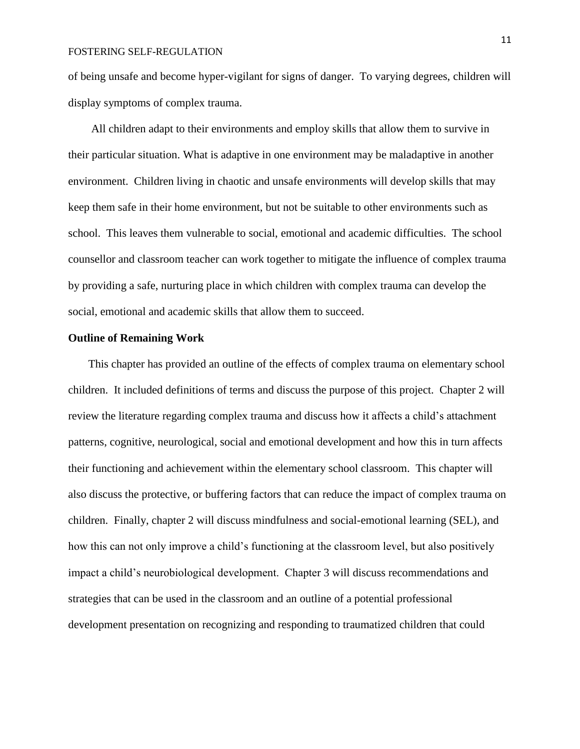of being unsafe and become hyper-vigilant for signs of danger. To varying degrees, children will display symptoms of complex trauma.

All children adapt to their environments and employ skills that allow them to survive in their particular situation. What is adaptive in one environment may be maladaptive in another environment. Children living in chaotic and unsafe environments will develop skills that may keep them safe in their home environment, but not be suitable to other environments such as school. This leaves them vulnerable to social, emotional and academic difficulties. The school counsellor and classroom teacher can work together to mitigate the influence of complex trauma by providing a safe, nurturing place in which children with complex trauma can develop the social, emotional and academic skills that allow them to succeed.

## **Outline of Remaining Work**

This chapter has provided an outline of the effects of complex trauma on elementary school children. It included definitions of terms and discuss the purpose of this project. Chapter 2 will review the literature regarding complex trauma and discuss how it affects a child's attachment patterns, cognitive, neurological, social and emotional development and how this in turn affects their functioning and achievement within the elementary school classroom. This chapter will also discuss the protective, or buffering factors that can reduce the impact of complex trauma on children. Finally, chapter 2 will discuss mindfulness and social-emotional learning (SEL), and how this can not only improve a child's functioning at the classroom level, but also positively impact a child's neurobiological development. Chapter 3 will discuss recommendations and strategies that can be used in the classroom and an outline of a potential professional development presentation on recognizing and responding to traumatized children that could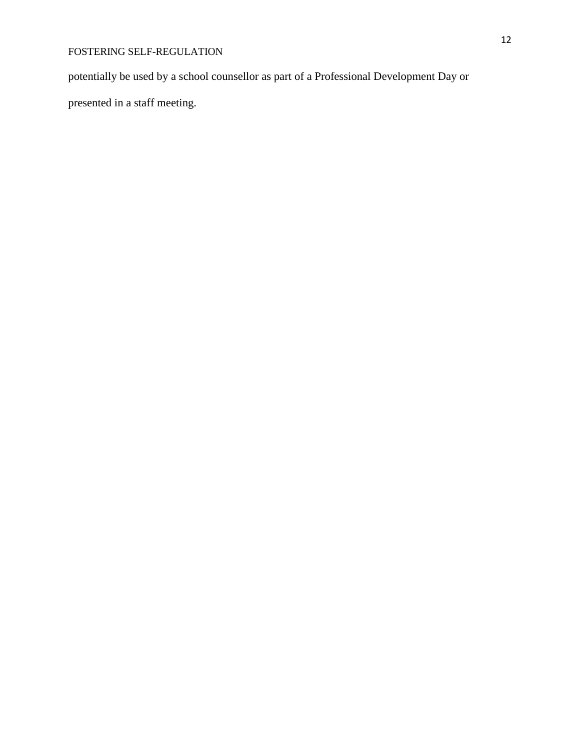potentially be used by a school counsellor as part of a Professional Development Day or

presented in a staff meeting.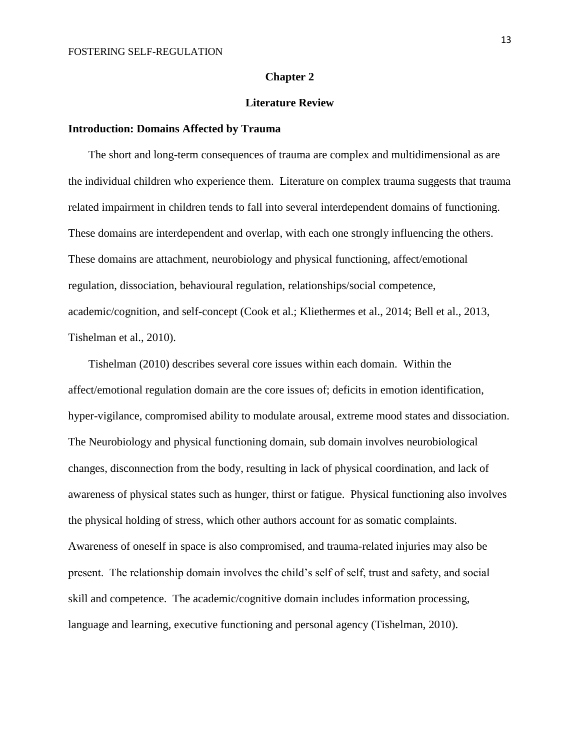## **Chapter 2**

## **Literature Review**

#### **Introduction: Domains Affected by Trauma**

The short and long-term consequences of trauma are complex and multidimensional as are the individual children who experience them. Literature on complex trauma suggests that trauma related impairment in children tends to fall into several interdependent domains of functioning. These domains are interdependent and overlap, with each one strongly influencing the others. These domains are attachment, neurobiology and physical functioning, affect/emotional regulation, dissociation, behavioural regulation, relationships/social competence, academic/cognition, and self-concept (Cook et al.; Kliethermes et al., 2014; Bell et al., 2013, Tishelman et al., 2010).

Tishelman (2010) describes several core issues within each domain. Within the affect/emotional regulation domain are the core issues of; deficits in emotion identification, hyper-vigilance, compromised ability to modulate arousal, extreme mood states and dissociation. The Neurobiology and physical functioning domain, sub domain involves neurobiological changes, disconnection from the body, resulting in lack of physical coordination, and lack of awareness of physical states such as hunger, thirst or fatigue. Physical functioning also involves the physical holding of stress, which other authors account for as somatic complaints. Awareness of oneself in space is also compromised, and trauma-related injuries may also be present. The relationship domain involves the child's self of self, trust and safety, and social skill and competence. The academic/cognitive domain includes information processing, language and learning, executive functioning and personal agency (Tishelman, 2010).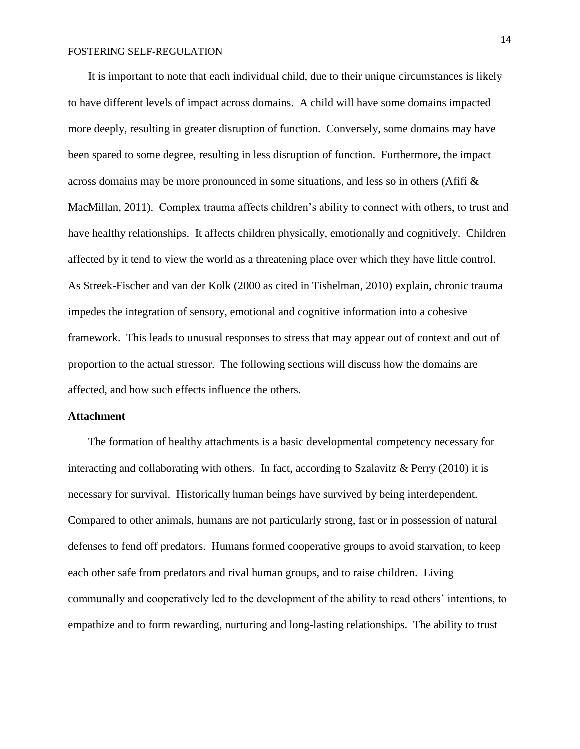It is important to note that each individual child, due to their unique circumstances is likely to have different levels of impact across domains. A child will have some domains impacted more deeply, resulting in greater disruption of function. Conversely, some domains may have been spared to some degree, resulting in less disruption of function. Furthermore, the impact across domains may be more pronounced in some situations, and less so in others (Afifi  $\&$ MacMillan, 2011). Complex trauma affects children's ability to connect with others, to trust and have healthy relationships. It affects children physically, emotionally and cognitively. Children affected by it tend to view the world as a threatening place over which they have little control. As Streek-Fischer and van der Kolk (2000 as cited in Tishelman, 2010) explain, chronic trauma impedes the integration of sensory, emotional and cognitive information into a cohesive framework. This leads to unusual responses to stress that may appear out of context and out of proportion to the actual stressor. The following sections will discuss how the domains are affected, and how such effects influence the others.

## **Attachment**

The formation of healthy attachments is a basic developmental competency necessary for interacting and collaborating with others. In fact, according to Szalavitz & Perry (2010) it is necessary for survival. Historically human beings have survived by being interdependent. Compared to other animals, humans are not particularly strong, fast or in possession of natural defenses to fend off predators. Humans formed cooperative groups to avoid starvation, to keep each other safe from predators and rival human groups, and to raise children. Living communally and cooperatively led to the development of the ability to read others' intentions, to empathize and to form rewarding, nurturing and long-lasting relationships. The ability to trust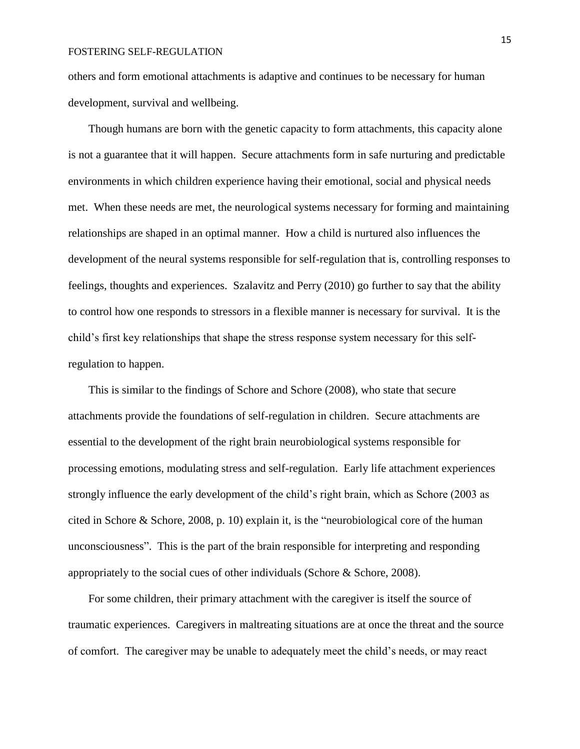others and form emotional attachments is adaptive and continues to be necessary for human development, survival and wellbeing.

Though humans are born with the genetic capacity to form attachments, this capacity alone is not a guarantee that it will happen. Secure attachments form in safe nurturing and predictable environments in which children experience having their emotional, social and physical needs met. When these needs are met, the neurological systems necessary for forming and maintaining relationships are shaped in an optimal manner. How a child is nurtured also influences the development of the neural systems responsible for self-regulation that is, controlling responses to feelings, thoughts and experiences. Szalavitz and Perry (2010) go further to say that the ability to control how one responds to stressors in a flexible manner is necessary for survival. It is the child's first key relationships that shape the stress response system necessary for this selfregulation to happen.

This is similar to the findings of Schore and Schore (2008), who state that secure attachments provide the foundations of self-regulation in children. Secure attachments are essential to the development of the right brain neurobiological systems responsible for processing emotions, modulating stress and self-regulation. Early life attachment experiences strongly influence the early development of the child's right brain, which as Schore (2003 as cited in Schore & Schore, 2008, p. 10) explain it, is the "neurobiological core of the human unconsciousness". This is the part of the brain responsible for interpreting and responding appropriately to the social cues of other individuals (Schore & Schore, 2008).

For some children, their primary attachment with the caregiver is itself the source of traumatic experiences. Caregivers in maltreating situations are at once the threat and the source of comfort. The caregiver may be unable to adequately meet the child's needs, or may react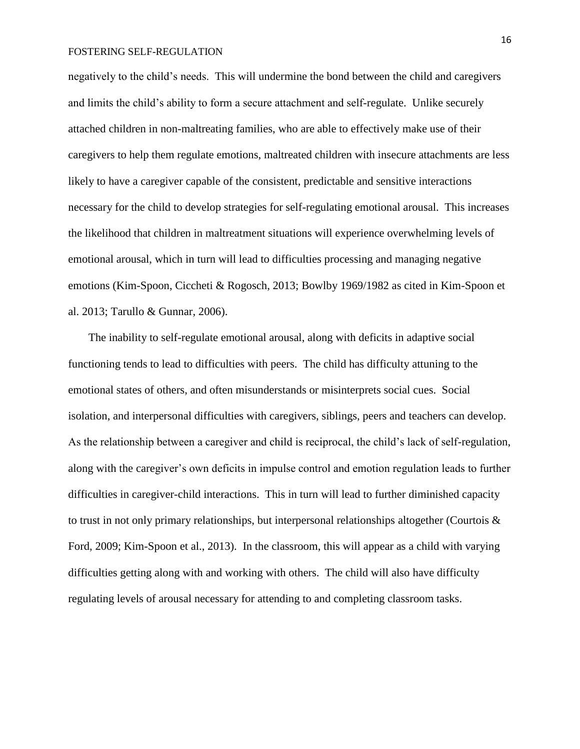negatively to the child's needs. This will undermine the bond between the child and caregivers and limits the child's ability to form a secure attachment and self-regulate. Unlike securely attached children in non-maltreating families, who are able to effectively make use of their caregivers to help them regulate emotions, maltreated children with insecure attachments are less likely to have a caregiver capable of the consistent, predictable and sensitive interactions necessary for the child to develop strategies for self-regulating emotional arousal. This increases the likelihood that children in maltreatment situations will experience overwhelming levels of emotional arousal, which in turn will lead to difficulties processing and managing negative emotions (Kim-Spoon, Ciccheti & Rogosch, 2013; Bowlby 1969/1982 as cited in Kim-Spoon et al. 2013; Tarullo & Gunnar, 2006).

The inability to self-regulate emotional arousal, along with deficits in adaptive social functioning tends to lead to difficulties with peers. The child has difficulty attuning to the emotional states of others, and often misunderstands or misinterprets social cues. Social isolation, and interpersonal difficulties with caregivers, siblings, peers and teachers can develop. As the relationship between a caregiver and child is reciprocal, the child's lack of self-regulation, along with the caregiver's own deficits in impulse control and emotion regulation leads to further difficulties in caregiver-child interactions. This in turn will lead to further diminished capacity to trust in not only primary relationships, but interpersonal relationships altogether (Courtois & Ford, 2009; Kim-Spoon et al., 2013). In the classroom, this will appear as a child with varying difficulties getting along with and working with others. The child will also have difficulty regulating levels of arousal necessary for attending to and completing classroom tasks.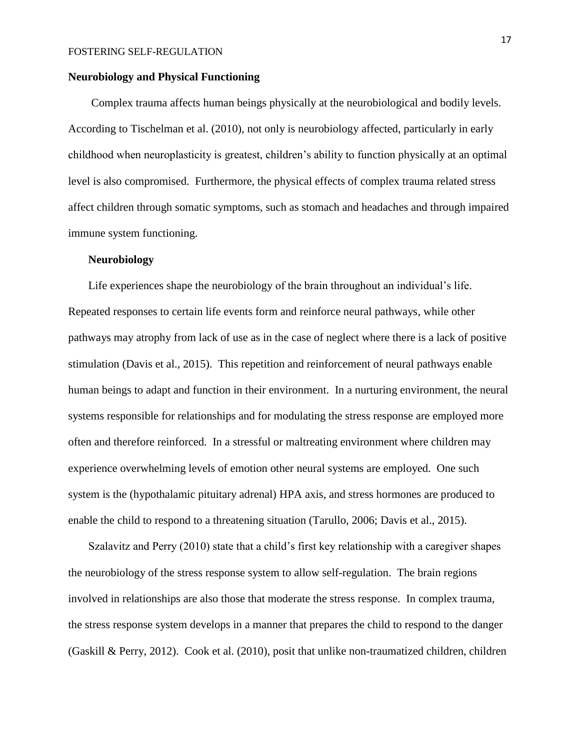## **Neurobiology and Physical Functioning**

Complex trauma affects human beings physically at the neurobiological and bodily levels. According to Tischelman et al. (2010), not only is neurobiology affected, particularly in early childhood when neuroplasticity is greatest, children's ability to function physically at an optimal level is also compromised. Furthermore, the physical effects of complex trauma related stress affect children through somatic symptoms, such as stomach and headaches and through impaired immune system functioning.

## **Neurobiology**

Life experiences shape the neurobiology of the brain throughout an individual's life. Repeated responses to certain life events form and reinforce neural pathways, while other pathways may atrophy from lack of use as in the case of neglect where there is a lack of positive stimulation (Davis et al., 2015). This repetition and reinforcement of neural pathways enable human beings to adapt and function in their environment. In a nurturing environment, the neural systems responsible for relationships and for modulating the stress response are employed more often and therefore reinforced. In a stressful or maltreating environment where children may experience overwhelming levels of emotion other neural systems are employed. One such system is the (hypothalamic pituitary adrenal) HPA axis, and stress hormones are produced to enable the child to respond to a threatening situation (Tarullo, 2006; Davis et al., 2015).

Szalavitz and Perry (2010) state that a child's first key relationship with a caregiver shapes the neurobiology of the stress response system to allow self-regulation. The brain regions involved in relationships are also those that moderate the stress response. In complex trauma, the stress response system develops in a manner that prepares the child to respond to the danger (Gaskill & Perry, 2012). Cook et al. (2010), posit that unlike non-traumatized children, children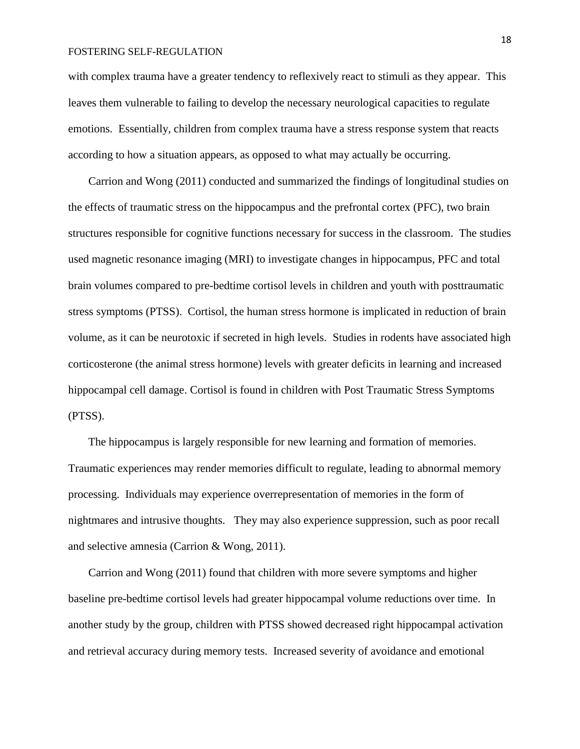with complex trauma have a greater tendency to reflexively react to stimuli as they appear. This leaves them vulnerable to failing to develop the necessary neurological capacities to regulate emotions. Essentially, children from complex trauma have a stress response system that reacts according to how a situation appears, as opposed to what may actually be occurring.

Carrion and Wong (2011) conducted and summarized the findings of longitudinal studies on the effects of traumatic stress on the hippocampus and the prefrontal cortex (PFC), two brain structures responsible for cognitive functions necessary for success in the classroom. The studies used magnetic resonance imaging (MRI) to investigate changes in hippocampus, PFC and total brain volumes compared to pre-bedtime cortisol levels in children and youth with posttraumatic stress symptoms (PTSS). Cortisol, the human stress hormone is implicated in reduction of brain volume, as it can be neurotoxic if secreted in high levels. Studies in rodents have associated high corticosterone (the animal stress hormone) levels with greater deficits in learning and increased hippocampal cell damage. Cortisol is found in children with Post Traumatic Stress Symptoms (PTSS).

The hippocampus is largely responsible for new learning and formation of memories. Traumatic experiences may render memories difficult to regulate, leading to abnormal memory processing. Individuals may experience overrepresentation of memories in the form of nightmares and intrusive thoughts. They may also experience suppression, such as poor recall and selective amnesia (Carrion & Wong, 2011).

Carrion and Wong (2011) found that children with more severe symptoms and higher baseline pre-bedtime cortisol levels had greater hippocampal volume reductions over time. In another study by the group, children with PTSS showed decreased right hippocampal activation and retrieval accuracy during memory tests. Increased severity of avoidance and emotional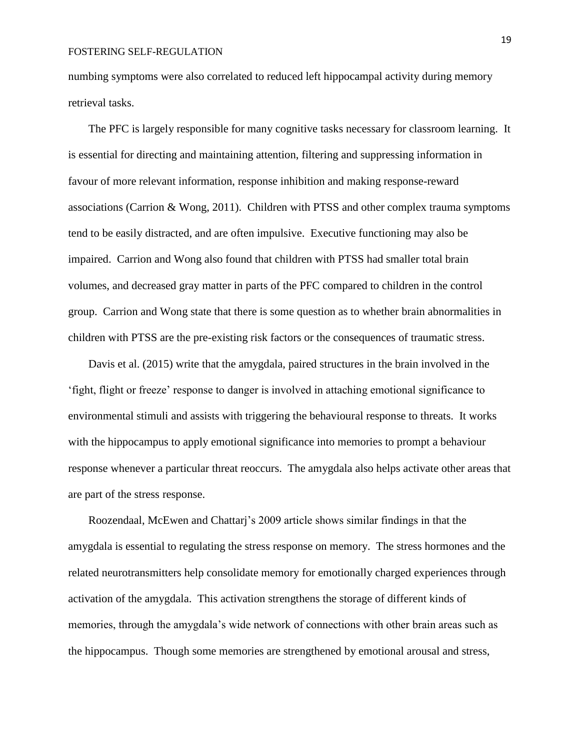numbing symptoms were also correlated to reduced left hippocampal activity during memory retrieval tasks.

The PFC is largely responsible for many cognitive tasks necessary for classroom learning. It is essential for directing and maintaining attention, filtering and suppressing information in favour of more relevant information, response inhibition and making response-reward associations (Carrion & Wong, 2011). Children with PTSS and other complex trauma symptoms tend to be easily distracted, and are often impulsive. Executive functioning may also be impaired. Carrion and Wong also found that children with PTSS had smaller total brain volumes, and decreased gray matter in parts of the PFC compared to children in the control group. Carrion and Wong state that there is some question as to whether brain abnormalities in children with PTSS are the pre-existing risk factors or the consequences of traumatic stress.

Davis et al. (2015) write that the amygdala, paired structures in the brain involved in the 'fight, flight or freeze' response to danger is involved in attaching emotional significance to environmental stimuli and assists with triggering the behavioural response to threats. It works with the hippocampus to apply emotional significance into memories to prompt a behaviour response whenever a particular threat reoccurs. The amygdala also helps activate other areas that are part of the stress response.

Roozendaal, McEwen and Chattarj's 2009 article shows similar findings in that the amygdala is essential to regulating the stress response on memory. The stress hormones and the related neurotransmitters help consolidate memory for emotionally charged experiences through activation of the amygdala. This activation strengthens the storage of different kinds of memories, through the amygdala's wide network of connections with other brain areas such as the hippocampus. Though some memories are strengthened by emotional arousal and stress,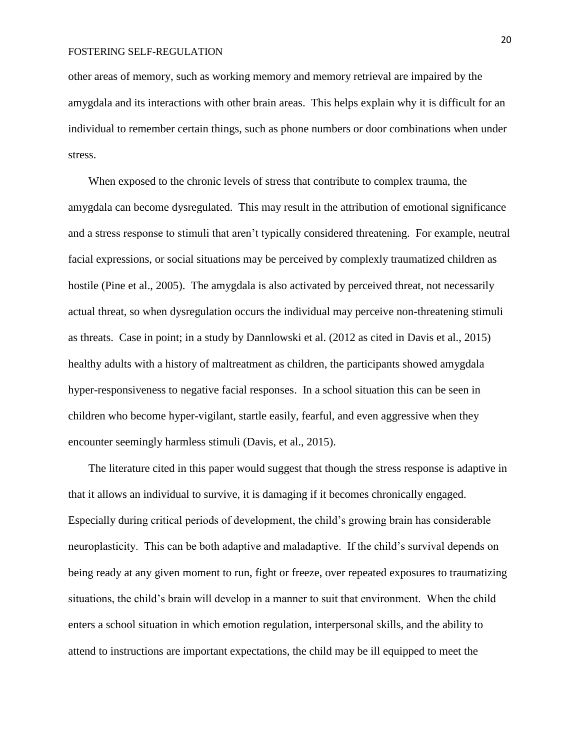other areas of memory, such as working memory and memory retrieval are impaired by the amygdala and its interactions with other brain areas. This helps explain why it is difficult for an individual to remember certain things, such as phone numbers or door combinations when under stress.

When exposed to the chronic levels of stress that contribute to complex trauma, the amygdala can become dysregulated. This may result in the attribution of emotional significance and a stress response to stimuli that aren't typically considered threatening. For example, neutral facial expressions, or social situations may be perceived by complexly traumatized children as hostile (Pine et al., 2005). The amygdala is also activated by perceived threat, not necessarily actual threat, so when dysregulation occurs the individual may perceive non-threatening stimuli as threats. Case in point; in a study by Dannlowski et al. (2012 as cited in Davis et al., 2015) healthy adults with a history of maltreatment as children, the participants showed amygdala hyper-responsiveness to negative facial responses. In a school situation this can be seen in children who become hyper-vigilant, startle easily, fearful, and even aggressive when they encounter seemingly harmless stimuli (Davis, et al., 2015).

The literature cited in this paper would suggest that though the stress response is adaptive in that it allows an individual to survive, it is damaging if it becomes chronically engaged. Especially during critical periods of development, the child's growing brain has considerable neuroplasticity. This can be both adaptive and maladaptive. If the child's survival depends on being ready at any given moment to run, fight or freeze, over repeated exposures to traumatizing situations, the child's brain will develop in a manner to suit that environment. When the child enters a school situation in which emotion regulation, interpersonal skills, and the ability to attend to instructions are important expectations, the child may be ill equipped to meet the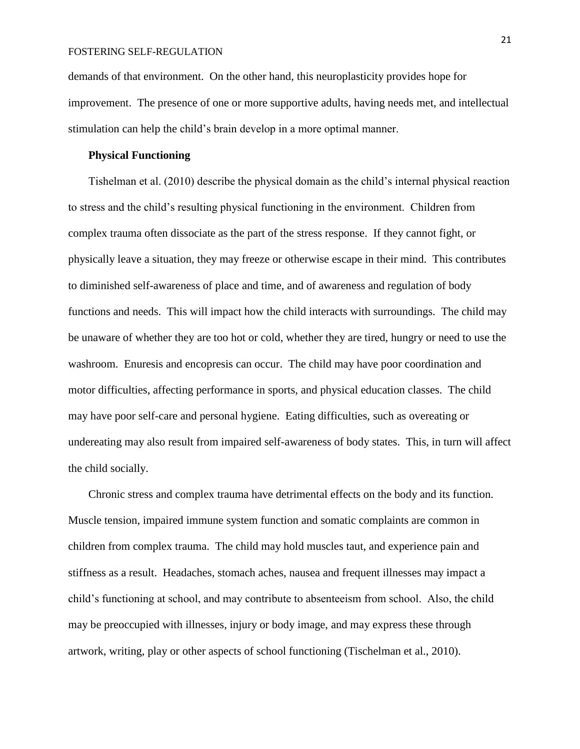demands of that environment. On the other hand, this neuroplasticity provides hope for improvement. The presence of one or more supportive adults, having needs met, and intellectual stimulation can help the child's brain develop in a more optimal manner.

## **Physical Functioning**

Tishelman et al. (2010) describe the physical domain as the child's internal physical reaction to stress and the child's resulting physical functioning in the environment. Children from complex trauma often dissociate as the part of the stress response. If they cannot fight, or physically leave a situation, they may freeze or otherwise escape in their mind. This contributes to diminished self-awareness of place and time, and of awareness and regulation of body functions and needs. This will impact how the child interacts with surroundings. The child may be unaware of whether they are too hot or cold, whether they are tired, hungry or need to use the washroom. Enuresis and encopresis can occur. The child may have poor coordination and motor difficulties, affecting performance in sports, and physical education classes. The child may have poor self-care and personal hygiene. Eating difficulties, such as overeating or undereating may also result from impaired self-awareness of body states. This, in turn will affect the child socially.

Chronic stress and complex trauma have detrimental effects on the body and its function. Muscle tension, impaired immune system function and somatic complaints are common in children from complex trauma. The child may hold muscles taut, and experience pain and stiffness as a result. Headaches, stomach aches, nausea and frequent illnesses may impact a child's functioning at school, and may contribute to absenteeism from school. Also, the child may be preoccupied with illnesses, injury or body image, and may express these through artwork, writing, play or other aspects of school functioning (Tischelman et al., 2010).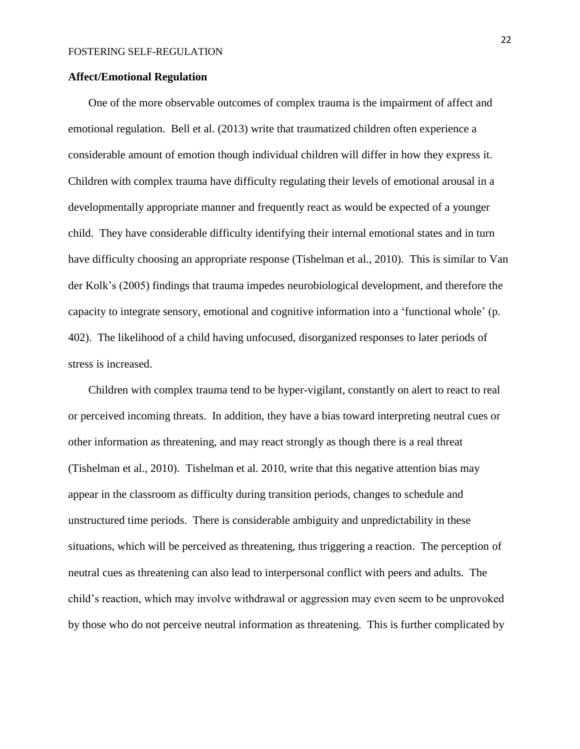## **Affect/Emotional Regulation**

One of the more observable outcomes of complex trauma is the impairment of affect and emotional regulation. Bell et al. (2013) write that traumatized children often experience a considerable amount of emotion though individual children will differ in how they express it. Children with complex trauma have difficulty regulating their levels of emotional arousal in a developmentally appropriate manner and frequently react as would be expected of a younger child. They have considerable difficulty identifying their internal emotional states and in turn have difficulty choosing an appropriate response (Tishelman et al., 2010). This is similar to Van der Kolk's (2005) findings that trauma impedes neurobiological development, and therefore the capacity to integrate sensory, emotional and cognitive information into a 'functional whole' (p. 402). The likelihood of a child having unfocused, disorganized responses to later periods of stress is increased.

Children with complex trauma tend to be hyper-vigilant, constantly on alert to react to real or perceived incoming threats. In addition, they have a bias toward interpreting neutral cues or other information as threatening, and may react strongly as though there is a real threat (Tishelman et al., 2010). Tishelman et al. 2010, write that this negative attention bias may appear in the classroom as difficulty during transition periods, changes to schedule and unstructured time periods. There is considerable ambiguity and unpredictability in these situations, which will be perceived as threatening, thus triggering a reaction. The perception of neutral cues as threatening can also lead to interpersonal conflict with peers and adults. The child's reaction, which may involve withdrawal or aggression may even seem to be unprovoked by those who do not perceive neutral information as threatening. This is further complicated by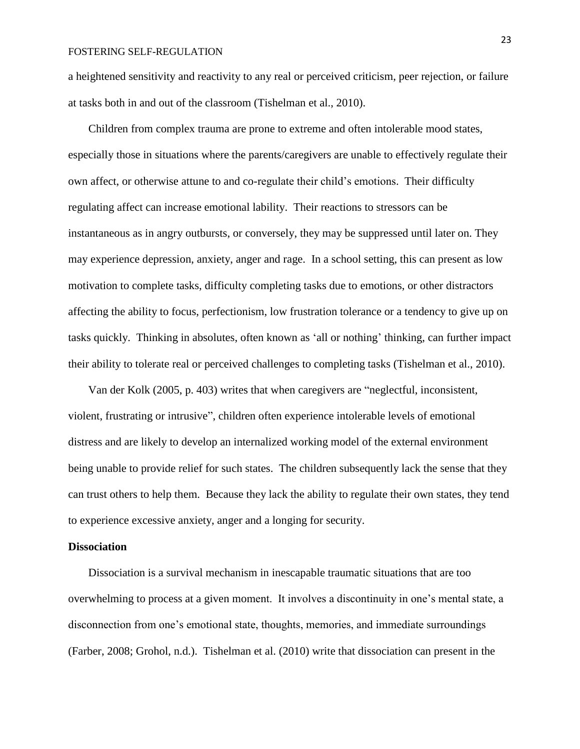a heightened sensitivity and reactivity to any real or perceived criticism, peer rejection, or failure at tasks both in and out of the classroom (Tishelman et al., 2010).

Children from complex trauma are prone to extreme and often intolerable mood states, especially those in situations where the parents/caregivers are unable to effectively regulate their own affect, or otherwise attune to and co-regulate their child's emotions. Their difficulty regulating affect can increase emotional lability. Their reactions to stressors can be instantaneous as in angry outbursts, or conversely, they may be suppressed until later on. They may experience depression, anxiety, anger and rage. In a school setting, this can present as low motivation to complete tasks, difficulty completing tasks due to emotions, or other distractors affecting the ability to focus, perfectionism, low frustration tolerance or a tendency to give up on tasks quickly. Thinking in absolutes, often known as 'all or nothing' thinking, can further impact their ability to tolerate real or perceived challenges to completing tasks (Tishelman et al., 2010).

Van der Kolk (2005, p. 403) writes that when caregivers are "neglectful, inconsistent, violent, frustrating or intrusive", children often experience intolerable levels of emotional distress and are likely to develop an internalized working model of the external environment being unable to provide relief for such states. The children subsequently lack the sense that they can trust others to help them. Because they lack the ability to regulate their own states, they tend to experience excessive anxiety, anger and a longing for security.

## **Dissociation**

Dissociation is a survival mechanism in inescapable traumatic situations that are too overwhelming to process at a given moment. It involves a discontinuity in one's mental state, a disconnection from one's emotional state, thoughts, memories, and immediate surroundings (Farber, 2008; Grohol, n.d.). Tishelman et al. (2010) write that dissociation can present in the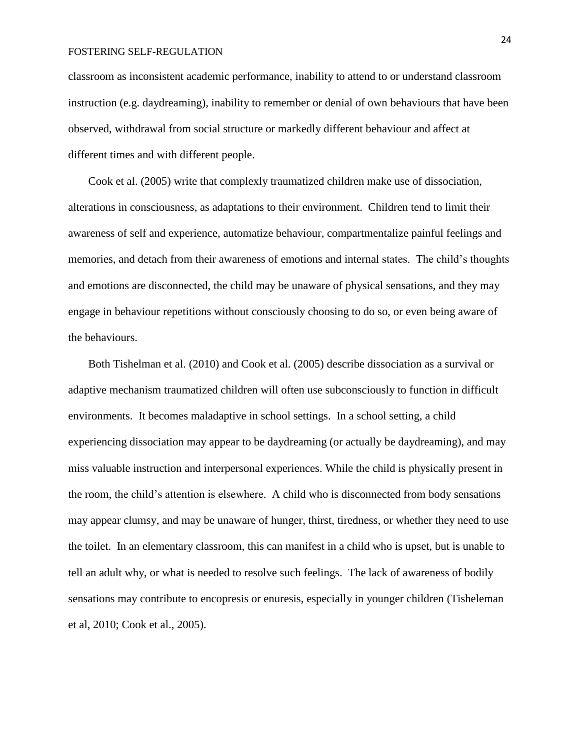classroom as inconsistent academic performance, inability to attend to or understand classroom instruction (e.g. daydreaming), inability to remember or denial of own behaviours that have been observed, withdrawal from social structure or markedly different behaviour and affect at different times and with different people.

Cook et al. (2005) write that complexly traumatized children make use of dissociation, alterations in consciousness, as adaptations to their environment. Children tend to limit their awareness of self and experience, automatize behaviour, compartmentalize painful feelings and memories, and detach from their awareness of emotions and internal states. The child's thoughts and emotions are disconnected, the child may be unaware of physical sensations, and they may engage in behaviour repetitions without consciously choosing to do so, or even being aware of the behaviours.

Both Tishelman et al. (2010) and Cook et al. (2005) describe dissociation as a survival or adaptive mechanism traumatized children will often use subconsciously to function in difficult environments. It becomes maladaptive in school settings. In a school setting, a child experiencing dissociation may appear to be daydreaming (or actually be daydreaming), and may miss valuable instruction and interpersonal experiences. While the child is physically present in the room, the child's attention is elsewhere. A child who is disconnected from body sensations may appear clumsy, and may be unaware of hunger, thirst, tiredness, or whether they need to use the toilet. In an elementary classroom, this can manifest in a child who is upset, but is unable to tell an adult why, or what is needed to resolve such feelings. The lack of awareness of bodily sensations may contribute to encopresis or enuresis, especially in younger children (Tisheleman et al, 2010; Cook et al., 2005).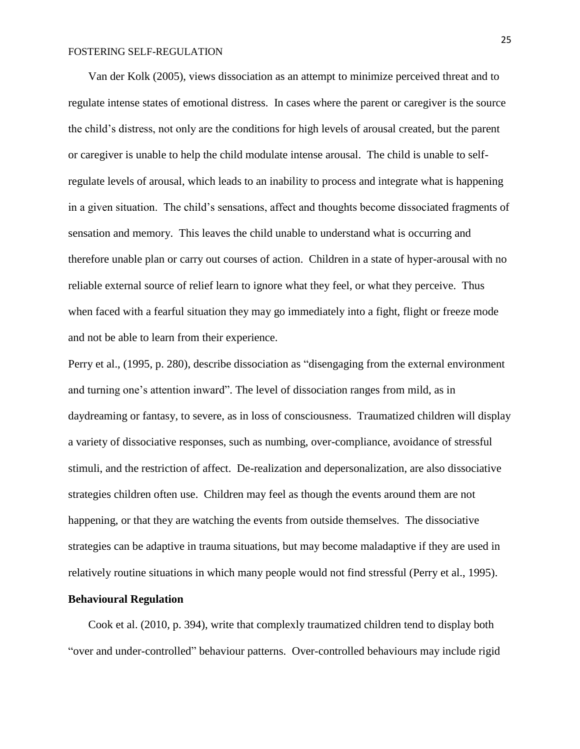Van der Kolk (2005), views dissociation as an attempt to minimize perceived threat and to regulate intense states of emotional distress. In cases where the parent or caregiver is the source the child's distress, not only are the conditions for high levels of arousal created, but the parent or caregiver is unable to help the child modulate intense arousal. The child is unable to selfregulate levels of arousal, which leads to an inability to process and integrate what is happening in a given situation. The child's sensations, affect and thoughts become dissociated fragments of sensation and memory. This leaves the child unable to understand what is occurring and therefore unable plan or carry out courses of action. Children in a state of hyper-arousal with no reliable external source of relief learn to ignore what they feel, or what they perceive. Thus when faced with a fearful situation they may go immediately into a fight, flight or freeze mode and not be able to learn from their experience.

Perry et al., (1995, p. 280), describe dissociation as "disengaging from the external environment and turning one's attention inward". The level of dissociation ranges from mild, as in daydreaming or fantasy, to severe, as in loss of consciousness. Traumatized children will display a variety of dissociative responses, such as numbing, over-compliance, avoidance of stressful stimuli, and the restriction of affect. De-realization and depersonalization, are also dissociative strategies children often use. Children may feel as though the events around them are not happening, or that they are watching the events from outside themselves. The dissociative strategies can be adaptive in trauma situations, but may become maladaptive if they are used in relatively routine situations in which many people would not find stressful (Perry et al., 1995).

## **Behavioural Regulation**

Cook et al. (2010, p. 394), write that complexly traumatized children tend to display both "over and under-controlled" behaviour patterns. Over-controlled behaviours may include rigid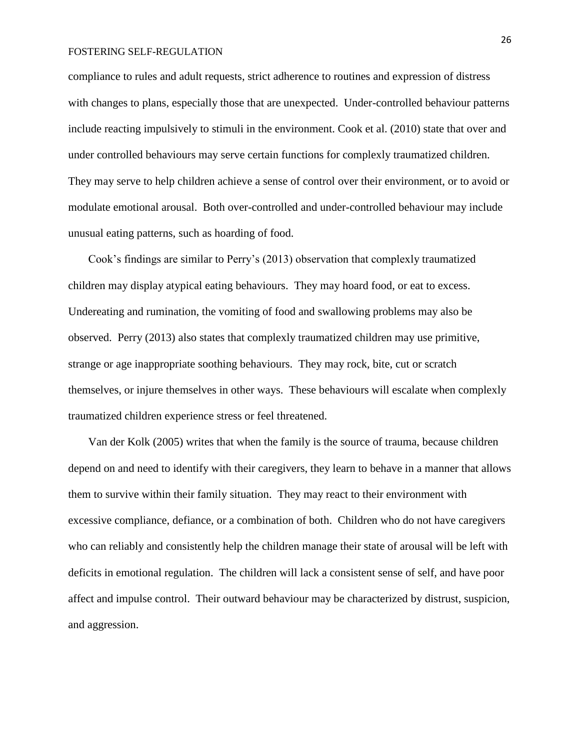compliance to rules and adult requests, strict adherence to routines and expression of distress with changes to plans, especially those that are unexpected. Under-controlled behaviour patterns include reacting impulsively to stimuli in the environment. Cook et al. (2010) state that over and under controlled behaviours may serve certain functions for complexly traumatized children. They may serve to help children achieve a sense of control over their environment, or to avoid or modulate emotional arousal. Both over-controlled and under-controlled behaviour may include unusual eating patterns, such as hoarding of food.

Cook's findings are similar to Perry's (2013) observation that complexly traumatized children may display atypical eating behaviours. They may hoard food, or eat to excess. Undereating and rumination, the vomiting of food and swallowing problems may also be observed. Perry (2013) also states that complexly traumatized children may use primitive, strange or age inappropriate soothing behaviours. They may rock, bite, cut or scratch themselves, or injure themselves in other ways. These behaviours will escalate when complexly traumatized children experience stress or feel threatened.

Van der Kolk (2005) writes that when the family is the source of trauma, because children depend on and need to identify with their caregivers, they learn to behave in a manner that allows them to survive within their family situation. They may react to their environment with excessive compliance, defiance, or a combination of both. Children who do not have caregivers who can reliably and consistently help the children manage their state of arousal will be left with deficits in emotional regulation. The children will lack a consistent sense of self, and have poor affect and impulse control. Their outward behaviour may be characterized by distrust, suspicion, and aggression.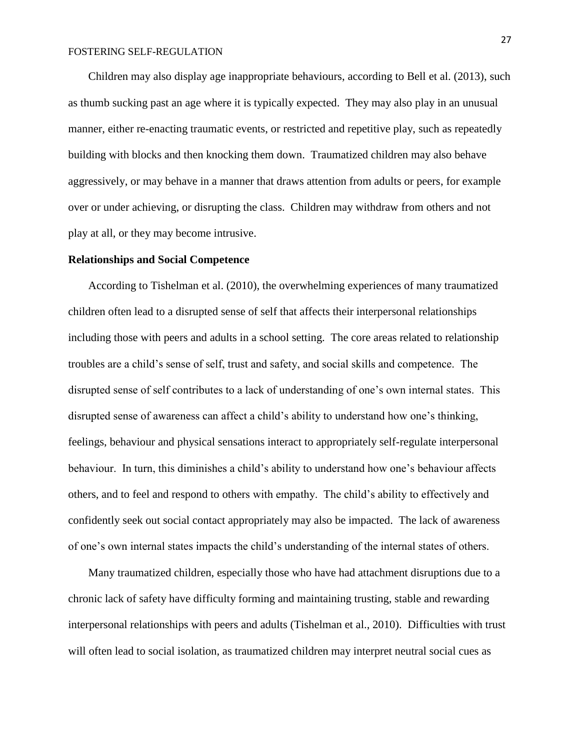Children may also display age inappropriate behaviours, according to Bell et al. (2013), such as thumb sucking past an age where it is typically expected. They may also play in an unusual manner, either re-enacting traumatic events, or restricted and repetitive play, such as repeatedly building with blocks and then knocking them down. Traumatized children may also behave aggressively, or may behave in a manner that draws attention from adults or peers, for example over or under achieving, or disrupting the class. Children may withdraw from others and not play at all, or they may become intrusive.

## **Relationships and Social Competence**

According to Tishelman et al. (2010), the overwhelming experiences of many traumatized children often lead to a disrupted sense of self that affects their interpersonal relationships including those with peers and adults in a school setting. The core areas related to relationship troubles are a child's sense of self, trust and safety, and social skills and competence. The disrupted sense of self contributes to a lack of understanding of one's own internal states. This disrupted sense of awareness can affect a child's ability to understand how one's thinking, feelings, behaviour and physical sensations interact to appropriately self-regulate interpersonal behaviour. In turn, this diminishes a child's ability to understand how one's behaviour affects others, and to feel and respond to others with empathy. The child's ability to effectively and confidently seek out social contact appropriately may also be impacted. The lack of awareness of one's own internal states impacts the child's understanding of the internal states of others.

Many traumatized children, especially those who have had attachment disruptions due to a chronic lack of safety have difficulty forming and maintaining trusting, stable and rewarding interpersonal relationships with peers and adults (Tishelman et al., 2010). Difficulties with trust will often lead to social isolation, as traumatized children may interpret neutral social cues as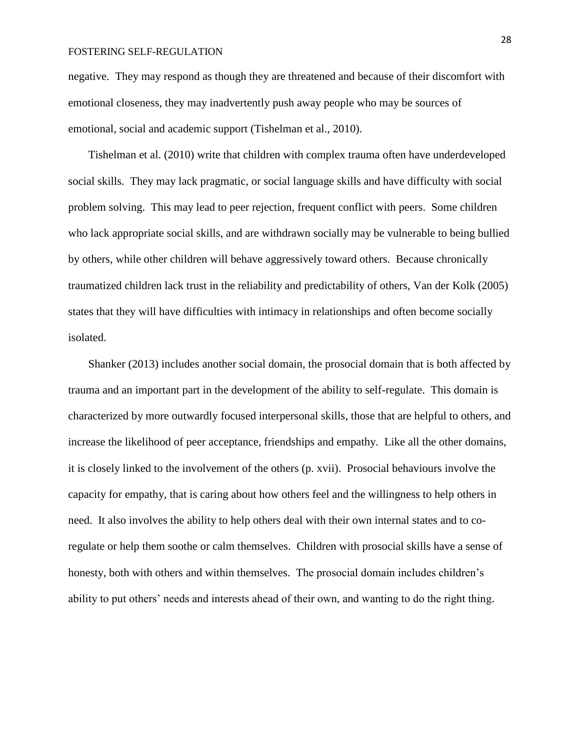negative. They may respond as though they are threatened and because of their discomfort with emotional closeness, they may inadvertently push away people who may be sources of emotional, social and academic support (Tishelman et al., 2010).

Tishelman et al. (2010) write that children with complex trauma often have underdeveloped social skills. They may lack pragmatic, or social language skills and have difficulty with social problem solving. This may lead to peer rejection, frequent conflict with peers. Some children who lack appropriate social skills, and are withdrawn socially may be vulnerable to being bullied by others, while other children will behave aggressively toward others. Because chronically traumatized children lack trust in the reliability and predictability of others, Van der Kolk (2005) states that they will have difficulties with intimacy in relationships and often become socially isolated.

Shanker (2013) includes another social domain, the prosocial domain that is both affected by trauma and an important part in the development of the ability to self-regulate. This domain is characterized by more outwardly focused interpersonal skills, those that are helpful to others, and increase the likelihood of peer acceptance, friendships and empathy. Like all the other domains, it is closely linked to the involvement of the others (p. xvii). Prosocial behaviours involve the capacity for empathy, that is caring about how others feel and the willingness to help others in need. It also involves the ability to help others deal with their own internal states and to coregulate or help them soothe or calm themselves. Children with prosocial skills have a sense of honesty, both with others and within themselves. The prosocial domain includes children's ability to put others' needs and interests ahead of their own, and wanting to do the right thing.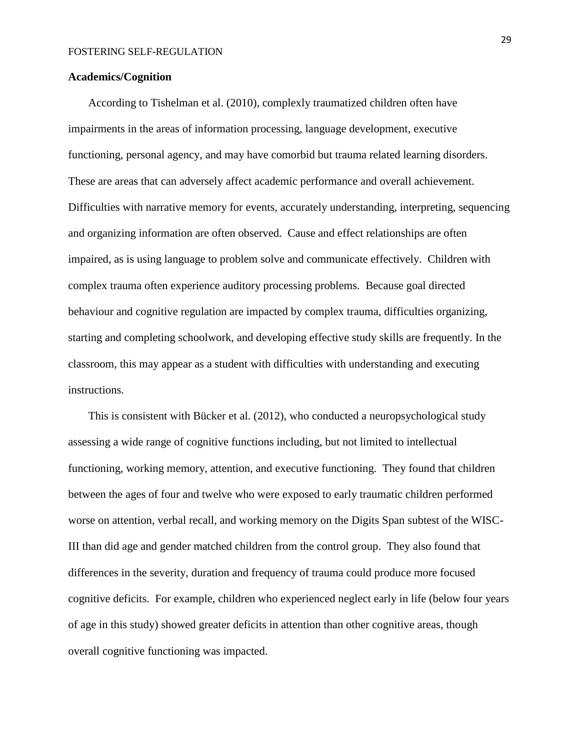## **Academics/Cognition**

According to Tishelman et al. (2010), complexly traumatized children often have impairments in the areas of information processing, language development, executive functioning, personal agency, and may have comorbid but trauma related learning disorders. These are areas that can adversely affect academic performance and overall achievement. Difficulties with narrative memory for events, accurately understanding, interpreting, sequencing and organizing information are often observed. Cause and effect relationships are often impaired, as is using language to problem solve and communicate effectively. Children with complex trauma often experience auditory processing problems. Because goal directed behaviour and cognitive regulation are impacted by complex trauma, difficulties organizing, starting and completing schoolwork, and developing effective study skills are frequently. In the classroom, this may appear as a student with difficulties with understanding and executing instructions.

This is consistent with Bücker et al. (2012), who conducted a neuropsychological study assessing a wide range of cognitive functions including, but not limited to intellectual functioning, working memory, attention, and executive functioning. They found that children between the ages of four and twelve who were exposed to early traumatic children performed worse on attention, verbal recall, and working memory on the Digits Span subtest of the WISC-III than did age and gender matched children from the control group. They also found that differences in the severity, duration and frequency of trauma could produce more focused cognitive deficits. For example, children who experienced neglect early in life (below four years of age in this study) showed greater deficits in attention than other cognitive areas, though overall cognitive functioning was impacted.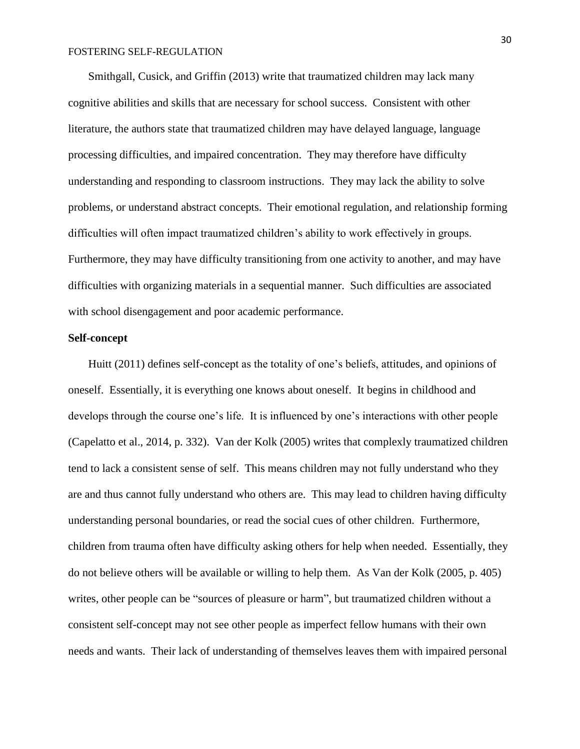Smithgall, Cusick, and Griffin (2013) write that traumatized children may lack many cognitive abilities and skills that are necessary for school success. Consistent with other literature, the authors state that traumatized children may have delayed language, language processing difficulties, and impaired concentration. They may therefore have difficulty understanding and responding to classroom instructions. They may lack the ability to solve problems, or understand abstract concepts. Their emotional regulation, and relationship forming difficulties will often impact traumatized children's ability to work effectively in groups. Furthermore, they may have difficulty transitioning from one activity to another, and may have difficulties with organizing materials in a sequential manner. Such difficulties are associated with school disengagement and poor academic performance.

## **Self-concept**

Huitt (2011) defines self-concept as the totality of one's beliefs, attitudes, and opinions of oneself. Essentially, it is everything one knows about oneself. It begins in childhood and develops through the course one's life. It is influenced by one's interactions with other people (Capelatto et al., 2014, p. 332). Van der Kolk (2005) writes that complexly traumatized children tend to lack a consistent sense of self. This means children may not fully understand who they are and thus cannot fully understand who others are. This may lead to children having difficulty understanding personal boundaries, or read the social cues of other children. Furthermore, children from trauma often have difficulty asking others for help when needed. Essentially, they do not believe others will be available or willing to help them. As Van der Kolk (2005, p. 405) writes, other people can be "sources of pleasure or harm", but traumatized children without a consistent self-concept may not see other people as imperfect fellow humans with their own needs and wants. Their lack of understanding of themselves leaves them with impaired personal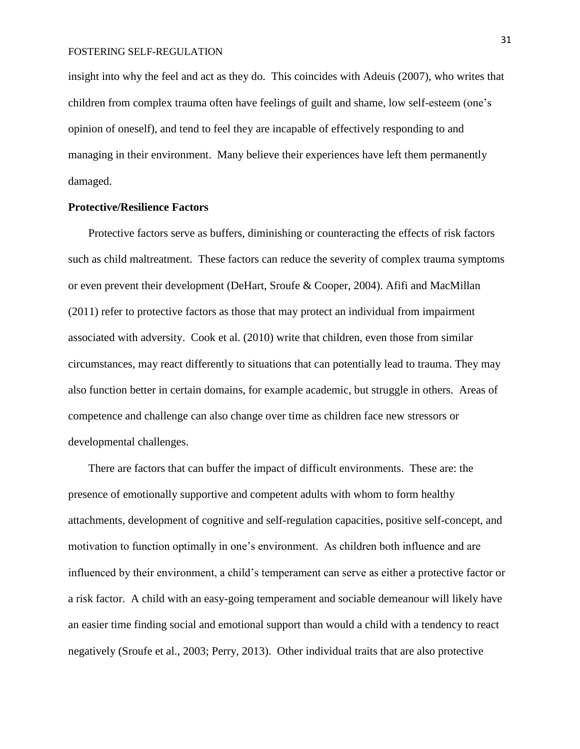insight into why the feel and act as they do. This coincides with Adeuis (2007), who writes that children from complex trauma often have feelings of guilt and shame, low self-esteem (one's opinion of oneself), and tend to feel they are incapable of effectively responding to and managing in their environment. Many believe their experiences have left them permanently damaged.

## **Protective/Resilience Factors**

Protective factors serve as buffers, diminishing or counteracting the effects of risk factors such as child maltreatment. These factors can reduce the severity of complex trauma symptoms or even prevent their development (DeHart, Sroufe & Cooper, 2004). Afifi and MacMillan (2011) refer to protective factors as those that may protect an individual from impairment associated with adversity. Cook et al. (2010) write that children, even those from similar circumstances, may react differently to situations that can potentially lead to trauma. They may also function better in certain domains, for example academic, but struggle in others. Areas of competence and challenge can also change over time as children face new stressors or developmental challenges.

There are factors that can buffer the impact of difficult environments. These are: the presence of emotionally supportive and competent adults with whom to form healthy attachments, development of cognitive and self-regulation capacities, positive self-concept, and motivation to function optimally in one's environment. As children both influence and are influenced by their environment, a child's temperament can serve as either a protective factor or a risk factor. A child with an easy-going temperament and sociable demeanour will likely have an easier time finding social and emotional support than would a child with a tendency to react negatively (Sroufe et al., 2003; Perry, 2013). Other individual traits that are also protective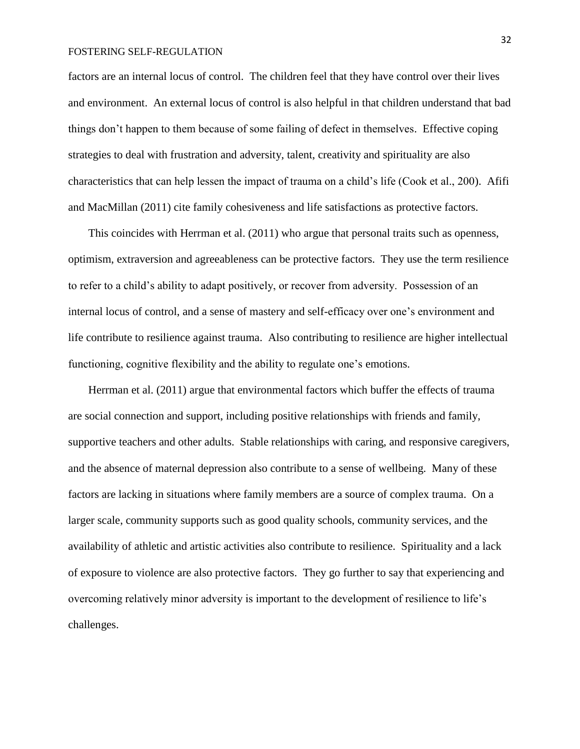factors are an internal locus of control. The children feel that they have control over their lives and environment. An external locus of control is also helpful in that children understand that bad things don't happen to them because of some failing of defect in themselves. Effective coping strategies to deal with frustration and adversity, talent, creativity and spirituality are also characteristics that can help lessen the impact of trauma on a child's life (Cook et al., 200). Afifi and MacMillan (2011) cite family cohesiveness and life satisfactions as protective factors.

This coincides with Herrman et al. (2011) who argue that personal traits such as openness, optimism, extraversion and agreeableness can be protective factors. They use the term resilience to refer to a child's ability to adapt positively, or recover from adversity. Possession of an internal locus of control, and a sense of mastery and self-efficacy over one's environment and life contribute to resilience against trauma. Also contributing to resilience are higher intellectual functioning, cognitive flexibility and the ability to regulate one's emotions.

Herrman et al. (2011) argue that environmental factors which buffer the effects of trauma are social connection and support, including positive relationships with friends and family, supportive teachers and other adults. Stable relationships with caring, and responsive caregivers, and the absence of maternal depression also contribute to a sense of wellbeing. Many of these factors are lacking in situations where family members are a source of complex trauma. On a larger scale, community supports such as good quality schools, community services, and the availability of athletic and artistic activities also contribute to resilience. Spirituality and a lack of exposure to violence are also protective factors. They go further to say that experiencing and overcoming relatively minor adversity is important to the development of resilience to life's challenges.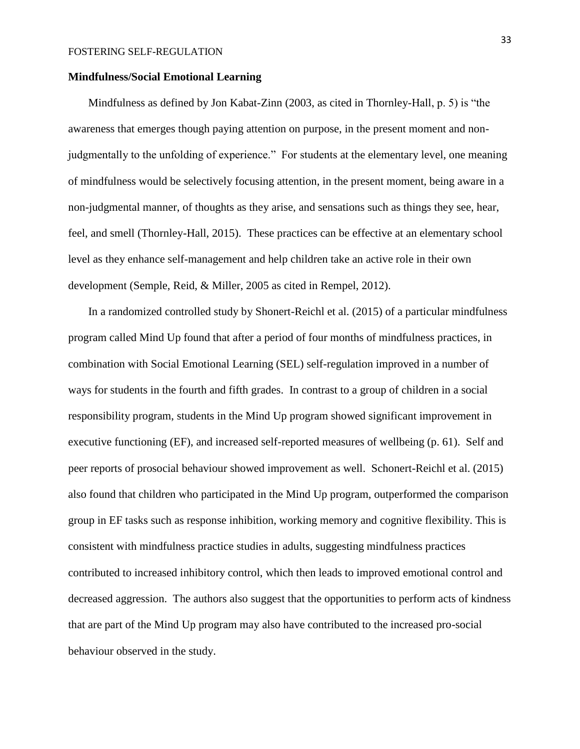## **Mindfulness/Social Emotional Learning**

Mindfulness as defined by Jon Kabat-Zinn (2003, as cited in Thornley-Hall, p. 5) is "the awareness that emerges though paying attention on purpose, in the present moment and nonjudgmentally to the unfolding of experience." For students at the elementary level, one meaning of mindfulness would be selectively focusing attention, in the present moment, being aware in a non-judgmental manner, of thoughts as they arise, and sensations such as things they see, hear, feel, and smell (Thornley-Hall, 2015). These practices can be effective at an elementary school level as they enhance self-management and help children take an active role in their own development (Semple, Reid, & Miller, 2005 as cited in Rempel, 2012).

In a randomized controlled study by Shonert-Reichl et al. (2015) of a particular mindfulness program called Mind Up found that after a period of four months of mindfulness practices, in combination with Social Emotional Learning (SEL) self-regulation improved in a number of ways for students in the fourth and fifth grades. In contrast to a group of children in a social responsibility program, students in the Mind Up program showed significant improvement in executive functioning (EF), and increased self-reported measures of wellbeing (p. 61). Self and peer reports of prosocial behaviour showed improvement as well. Schonert-Reichl et al. (2015) also found that children who participated in the Mind Up program, outperformed the comparison group in EF tasks such as response inhibition, working memory and cognitive flexibility. This is consistent with mindfulness practice studies in adults, suggesting mindfulness practices contributed to increased inhibitory control, which then leads to improved emotional control and decreased aggression. The authors also suggest that the opportunities to perform acts of kindness that are part of the Mind Up program may also have contributed to the increased pro-social behaviour observed in the study.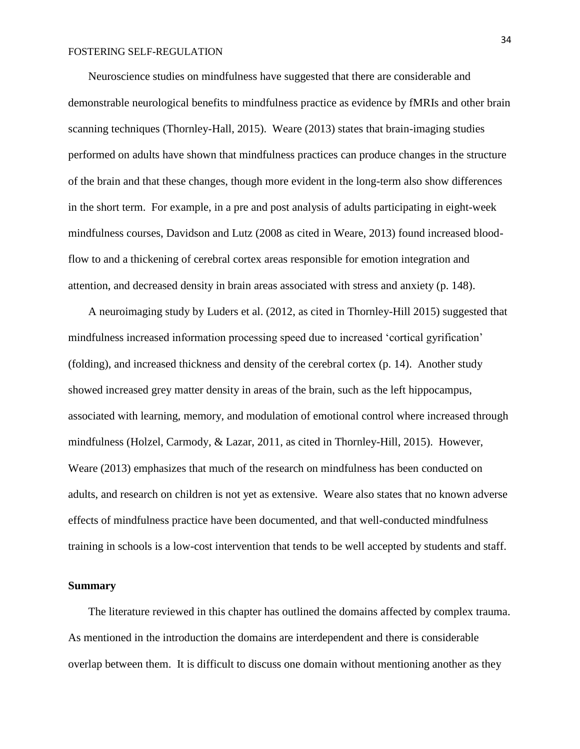Neuroscience studies on mindfulness have suggested that there are considerable and demonstrable neurological benefits to mindfulness practice as evidence by fMRIs and other brain scanning techniques (Thornley-Hall, 2015). Weare (2013) states that brain-imaging studies performed on adults have shown that mindfulness practices can produce changes in the structure of the brain and that these changes, though more evident in the long-term also show differences in the short term. For example, in a pre and post analysis of adults participating in eight-week mindfulness courses, Davidson and Lutz (2008 as cited in Weare, 2013) found increased bloodflow to and a thickening of cerebral cortex areas responsible for emotion integration and attention, and decreased density in brain areas associated with stress and anxiety (p. 148).

A neuroimaging study by Luders et al. (2012, as cited in Thornley-Hill 2015) suggested that mindfulness increased information processing speed due to increased 'cortical gyrification' (folding), and increased thickness and density of the cerebral cortex (p. 14). Another study showed increased grey matter density in areas of the brain, such as the left hippocampus, associated with learning, memory, and modulation of emotional control where increased through mindfulness (Holzel, Carmody, & Lazar, 2011, as cited in Thornley-Hill, 2015). However, Weare (2013) emphasizes that much of the research on mindfulness has been conducted on adults, and research on children is not yet as extensive. Weare also states that no known adverse effects of mindfulness practice have been documented, and that well-conducted mindfulness training in schools is a low-cost intervention that tends to be well accepted by students and staff.

## **Summary**

The literature reviewed in this chapter has outlined the domains affected by complex trauma. As mentioned in the introduction the domains are interdependent and there is considerable overlap between them. It is difficult to discuss one domain without mentioning another as they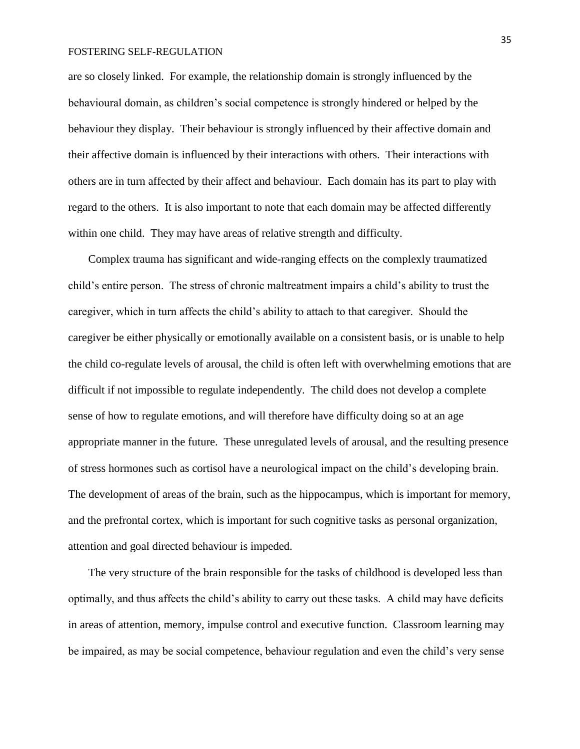are so closely linked. For example, the relationship domain is strongly influenced by the behavioural domain, as children's social competence is strongly hindered or helped by the behaviour they display. Their behaviour is strongly influenced by their affective domain and their affective domain is influenced by their interactions with others. Their interactions with others are in turn affected by their affect and behaviour. Each domain has its part to play with regard to the others. It is also important to note that each domain may be affected differently within one child. They may have areas of relative strength and difficulty.

Complex trauma has significant and wide-ranging effects on the complexly traumatized child's entire person. The stress of chronic maltreatment impairs a child's ability to trust the caregiver, which in turn affects the child's ability to attach to that caregiver. Should the caregiver be either physically or emotionally available on a consistent basis, or is unable to help the child co-regulate levels of arousal, the child is often left with overwhelming emotions that are difficult if not impossible to regulate independently. The child does not develop a complete sense of how to regulate emotions, and will therefore have difficulty doing so at an age appropriate manner in the future. These unregulated levels of arousal, and the resulting presence of stress hormones such as cortisol have a neurological impact on the child's developing brain. The development of areas of the brain, such as the hippocampus, which is important for memory, and the prefrontal cortex, which is important for such cognitive tasks as personal organization, attention and goal directed behaviour is impeded.

The very structure of the brain responsible for the tasks of childhood is developed less than optimally, and thus affects the child's ability to carry out these tasks. A child may have deficits in areas of attention, memory, impulse control and executive function. Classroom learning may be impaired, as may be social competence, behaviour regulation and even the child's very sense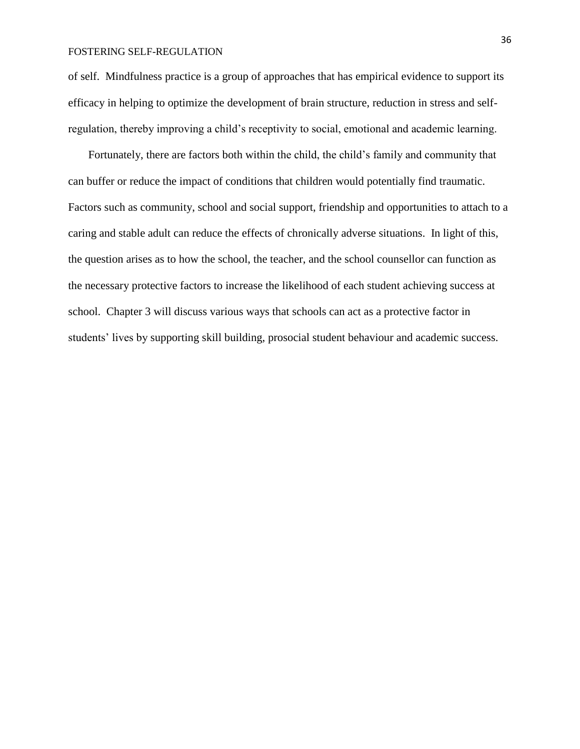of self. Mindfulness practice is a group of approaches that has empirical evidence to support its efficacy in helping to optimize the development of brain structure, reduction in stress and selfregulation, thereby improving a child's receptivity to social, emotional and academic learning.

Fortunately, there are factors both within the child, the child's family and community that can buffer or reduce the impact of conditions that children would potentially find traumatic. Factors such as community, school and social support, friendship and opportunities to attach to a caring and stable adult can reduce the effects of chronically adverse situations. In light of this, the question arises as to how the school, the teacher, and the school counsellor can function as the necessary protective factors to increase the likelihood of each student achieving success at school. Chapter 3 will discuss various ways that schools can act as a protective factor in students' lives by supporting skill building, prosocial student behaviour and academic success.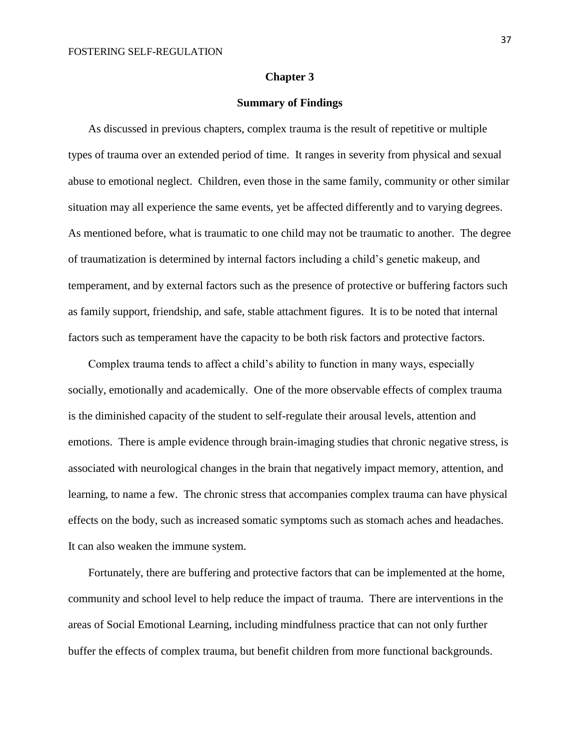## **Chapter 3**

## **Summary of Findings**

As discussed in previous chapters, complex trauma is the result of repetitive or multiple types of trauma over an extended period of time. It ranges in severity from physical and sexual abuse to emotional neglect. Children, even those in the same family, community or other similar situation may all experience the same events, yet be affected differently and to varying degrees. As mentioned before, what is traumatic to one child may not be traumatic to another. The degree of traumatization is determined by internal factors including a child's genetic makeup, and temperament, and by external factors such as the presence of protective or buffering factors such as family support, friendship, and safe, stable attachment figures. It is to be noted that internal factors such as temperament have the capacity to be both risk factors and protective factors.

Complex trauma tends to affect a child's ability to function in many ways, especially socially, emotionally and academically. One of the more observable effects of complex trauma is the diminished capacity of the student to self-regulate their arousal levels, attention and emotions. There is ample evidence through brain-imaging studies that chronic negative stress, is associated with neurological changes in the brain that negatively impact memory, attention, and learning, to name a few. The chronic stress that accompanies complex trauma can have physical effects on the body, such as increased somatic symptoms such as stomach aches and headaches. It can also weaken the immune system.

Fortunately, there are buffering and protective factors that can be implemented at the home, community and school level to help reduce the impact of trauma. There are interventions in the areas of Social Emotional Learning, including mindfulness practice that can not only further buffer the effects of complex trauma, but benefit children from more functional backgrounds.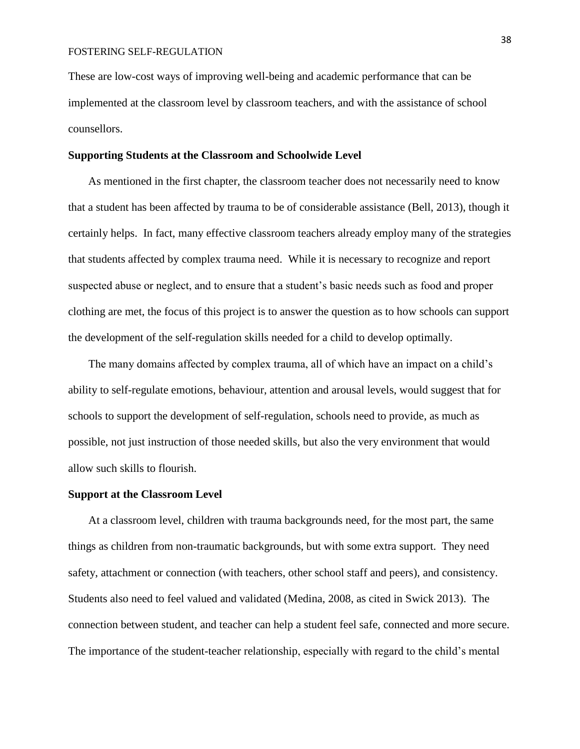These are low-cost ways of improving well-being and academic performance that can be implemented at the classroom level by classroom teachers, and with the assistance of school counsellors.

## **Supporting Students at the Classroom and Schoolwide Level**

As mentioned in the first chapter, the classroom teacher does not necessarily need to know that a student has been affected by trauma to be of considerable assistance (Bell, 2013), though it certainly helps. In fact, many effective classroom teachers already employ many of the strategies that students affected by complex trauma need. While it is necessary to recognize and report suspected abuse or neglect, and to ensure that a student's basic needs such as food and proper clothing are met, the focus of this project is to answer the question as to how schools can support the development of the self-regulation skills needed for a child to develop optimally.

The many domains affected by complex trauma, all of which have an impact on a child's ability to self-regulate emotions, behaviour, attention and arousal levels, would suggest that for schools to support the development of self-regulation, schools need to provide, as much as possible, not just instruction of those needed skills, but also the very environment that would allow such skills to flourish.

## **Support at the Classroom Level**

At a classroom level, children with trauma backgrounds need, for the most part, the same things as children from non-traumatic backgrounds, but with some extra support. They need safety, attachment or connection (with teachers, other school staff and peers), and consistency. Students also need to feel valued and validated (Medina, 2008, as cited in Swick 2013). The connection between student, and teacher can help a student feel safe, connected and more secure. The importance of the student-teacher relationship, especially with regard to the child's mental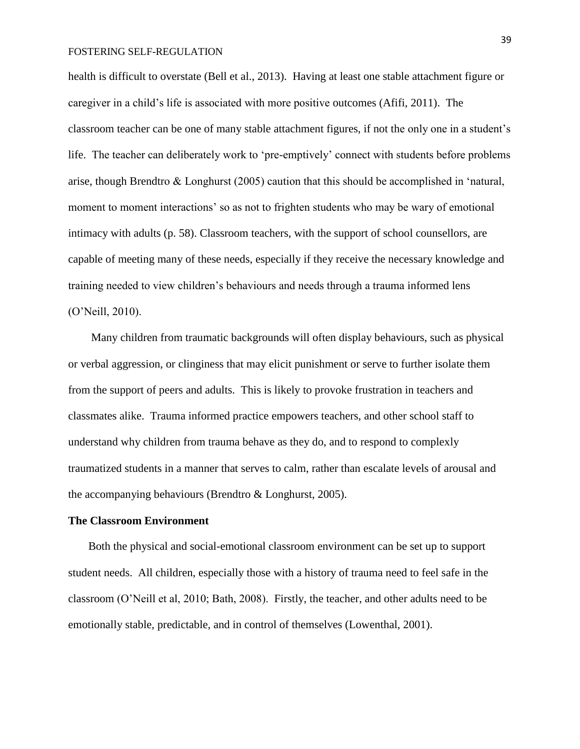health is difficult to overstate (Bell et al., 2013). Having at least one stable attachment figure or caregiver in a child's life is associated with more positive outcomes (Afifi, 2011). The classroom teacher can be one of many stable attachment figures, if not the only one in a student's life. The teacher can deliberately work to 'pre-emptively' connect with students before problems arise, though Brendtro & Longhurst (2005) caution that this should be accomplished in 'natural, moment to moment interactions' so as not to frighten students who may be wary of emotional intimacy with adults (p. 58). Classroom teachers, with the support of school counsellors, are capable of meeting many of these needs, especially if they receive the necessary knowledge and training needed to view children's behaviours and needs through a trauma informed lens (O'Neill, 2010).

Many children from traumatic backgrounds will often display behaviours, such as physical or verbal aggression, or clinginess that may elicit punishment or serve to further isolate them from the support of peers and adults. This is likely to provoke frustration in teachers and classmates alike. Trauma informed practice empowers teachers, and other school staff to understand why children from trauma behave as they do, and to respond to complexly traumatized students in a manner that serves to calm, rather than escalate levels of arousal and the accompanying behaviours (Brendtro & Longhurst, 2005).

## **The Classroom Environment**

Both the physical and social-emotional classroom environment can be set up to support student needs. All children, especially those with a history of trauma need to feel safe in the classroom (O'Neill et al, 2010; Bath, 2008). Firstly, the teacher, and other adults need to be emotionally stable, predictable, and in control of themselves (Lowenthal, 2001).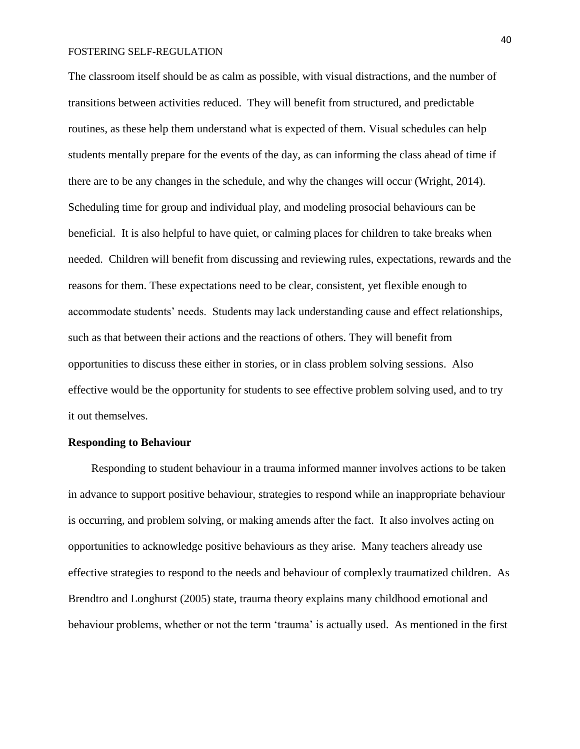The classroom itself should be as calm as possible, with visual distractions, and the number of transitions between activities reduced. They will benefit from structured, and predictable routines, as these help them understand what is expected of them. Visual schedules can help students mentally prepare for the events of the day, as can informing the class ahead of time if there are to be any changes in the schedule, and why the changes will occur (Wright, 2014). Scheduling time for group and individual play, and modeling prosocial behaviours can be beneficial. It is also helpful to have quiet, or calming places for children to take breaks when needed. Children will benefit from discussing and reviewing rules, expectations, rewards and the reasons for them. These expectations need to be clear, consistent, yet flexible enough to accommodate students' needs. Students may lack understanding cause and effect relationships, such as that between their actions and the reactions of others. They will benefit from opportunities to discuss these either in stories, or in class problem solving sessions. Also effective would be the opportunity for students to see effective problem solving used, and to try it out themselves.

## **Responding to Behaviour**

Responding to student behaviour in a trauma informed manner involves actions to be taken in advance to support positive behaviour, strategies to respond while an inappropriate behaviour is occurring, and problem solving, or making amends after the fact. It also involves acting on opportunities to acknowledge positive behaviours as they arise. Many teachers already use effective strategies to respond to the needs and behaviour of complexly traumatized children. As Brendtro and Longhurst (2005) state, trauma theory explains many childhood emotional and behaviour problems, whether or not the term 'trauma' is actually used. As mentioned in the first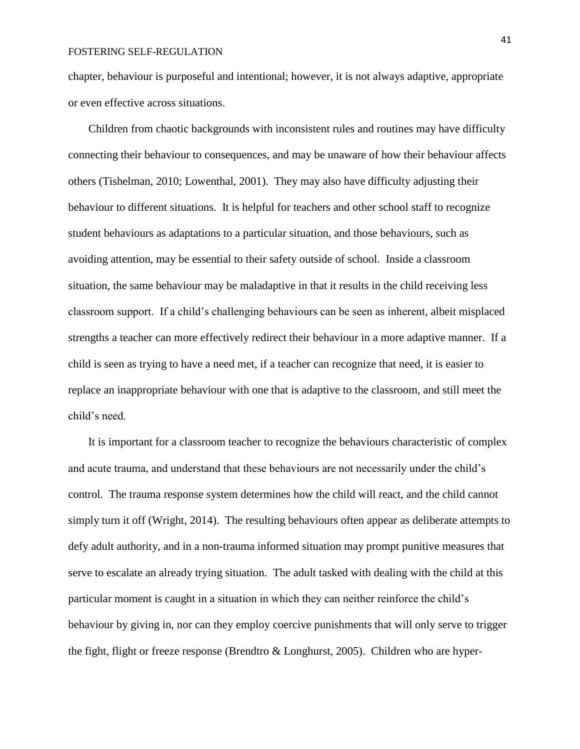chapter, behaviour is purposeful and intentional; however, it is not always adaptive, appropriate or even effective across situations.

Children from chaotic backgrounds with inconsistent rules and routines may have difficulty connecting their behaviour to consequences, and may be unaware of how their behaviour affects others (Tishelman, 2010; Lowenthal, 2001). They may also have difficulty adjusting their behaviour to different situations. It is helpful for teachers and other school staff to recognize student behaviours as adaptations to a particular situation, and those behaviours, such as avoiding attention, may be essential to their safety outside of school. Inside a classroom situation, the same behaviour may be maladaptive in that it results in the child receiving less classroom support. If a child's challenging behaviours can be seen as inherent, albeit misplaced strengths a teacher can more effectively redirect their behaviour in a more adaptive manner. If a child is seen as trying to have a need met, if a teacher can recognize that need, it is easier to replace an inappropriate behaviour with one that is adaptive to the classroom, and still meet the child's need.

It is important for a classroom teacher to recognize the behaviours characteristic of complex and acute trauma, and understand that these behaviours are not necessarily under the child's control. The trauma response system determines how the child will react, and the child cannot simply turn it off (Wright, 2014). The resulting behaviours often appear as deliberate attempts to defy adult authority, and in a non-trauma informed situation may prompt punitive measures that serve to escalate an already trying situation. The adult tasked with dealing with the child at this particular moment is caught in a situation in which they can neither reinforce the child's behaviour by giving in, nor can they employ coercive punishments that will only serve to trigger the fight, flight or freeze response (Brendtro & Longhurst, 2005). Children who are hyper-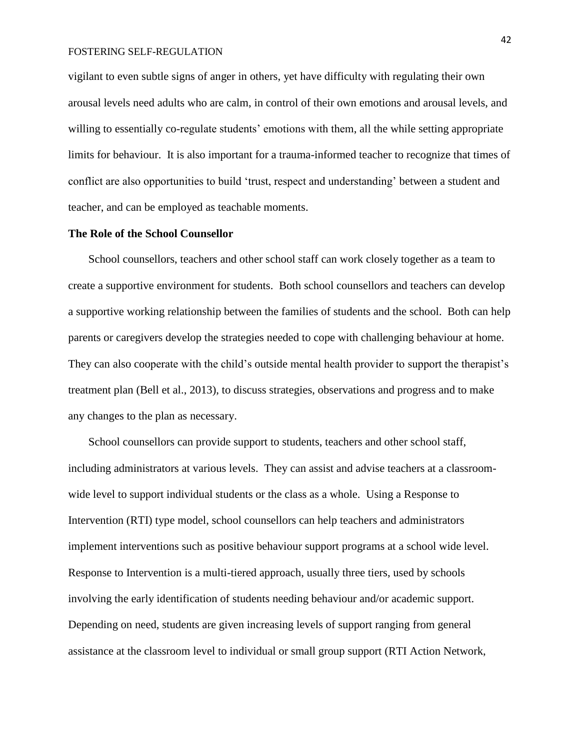vigilant to even subtle signs of anger in others, yet have difficulty with regulating their own arousal levels need adults who are calm, in control of their own emotions and arousal levels, and willing to essentially co-regulate students' emotions with them, all the while setting appropriate limits for behaviour. It is also important for a trauma-informed teacher to recognize that times of conflict are also opportunities to build 'trust, respect and understanding' between a student and teacher, and can be employed as teachable moments.

## **The Role of the School Counsellor**

School counsellors, teachers and other school staff can work closely together as a team to create a supportive environment for students. Both school counsellors and teachers can develop a supportive working relationship between the families of students and the school. Both can help parents or caregivers develop the strategies needed to cope with challenging behaviour at home. They can also cooperate with the child's outside mental health provider to support the therapist's treatment plan (Bell et al., 2013), to discuss strategies, observations and progress and to make any changes to the plan as necessary.

School counsellors can provide support to students, teachers and other school staff, including administrators at various levels. They can assist and advise teachers at a classroomwide level to support individual students or the class as a whole. Using a Response to Intervention (RTI) type model, school counsellors can help teachers and administrators implement interventions such as positive behaviour support programs at a school wide level. Response to Intervention is a multi-tiered approach, usually three tiers, used by schools involving the early identification of students needing behaviour and/or academic support. Depending on need, students are given increasing levels of support ranging from general assistance at the classroom level to individual or small group support (RTI Action Network,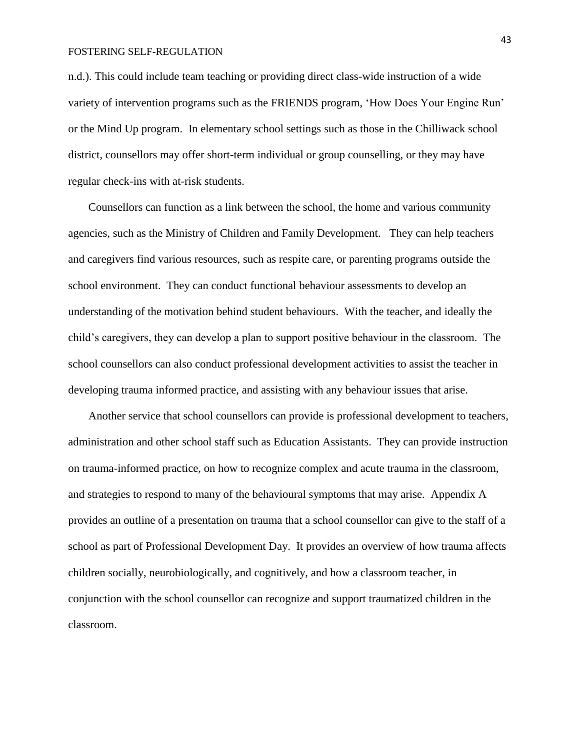n.d.). This could include team teaching or providing direct class-wide instruction of a wide variety of intervention programs such as the FRIENDS program, 'How Does Your Engine Run' or the Mind Up program. In elementary school settings such as those in the Chilliwack school district, counsellors may offer short-term individual or group counselling, or they may have regular check-ins with at-risk students.

Counsellors can function as a link between the school, the home and various community agencies, such as the Ministry of Children and Family Development. They can help teachers and caregivers find various resources, such as respite care, or parenting programs outside the school environment. They can conduct functional behaviour assessments to develop an understanding of the motivation behind student behaviours. With the teacher, and ideally the child's caregivers, they can develop a plan to support positive behaviour in the classroom. The school counsellors can also conduct professional development activities to assist the teacher in developing trauma informed practice, and assisting with any behaviour issues that arise.

Another service that school counsellors can provide is professional development to teachers, administration and other school staff such as Education Assistants. They can provide instruction on trauma-informed practice, on how to recognize complex and acute trauma in the classroom, and strategies to respond to many of the behavioural symptoms that may arise. Appendix A provides an outline of a presentation on trauma that a school counsellor can give to the staff of a school as part of Professional Development Day. It provides an overview of how trauma affects children socially, neurobiologically, and cognitively, and how a classroom teacher, in conjunction with the school counsellor can recognize and support traumatized children in the classroom.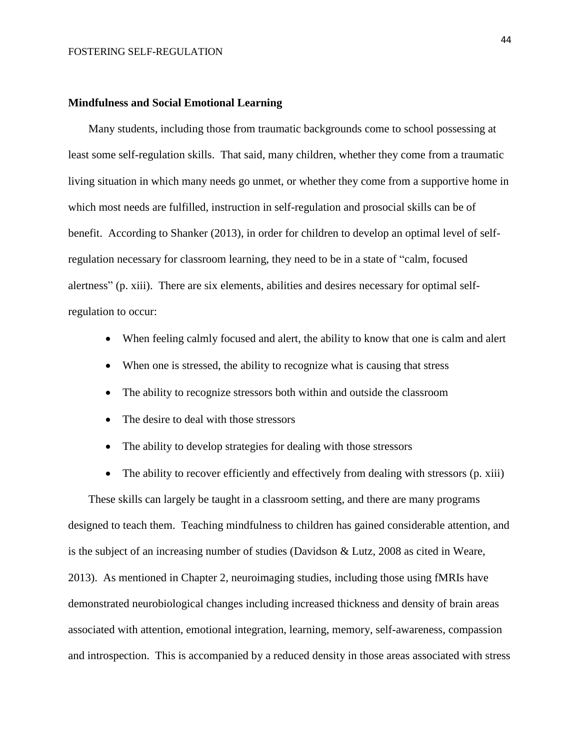### **Mindfulness and Social Emotional Learning**

Many students, including those from traumatic backgrounds come to school possessing at least some self-regulation skills. That said, many children, whether they come from a traumatic living situation in which many needs go unmet, or whether they come from a supportive home in which most needs are fulfilled, instruction in self-regulation and prosocial skills can be of benefit. According to Shanker (2013), in order for children to develop an optimal level of selfregulation necessary for classroom learning, they need to be in a state of "calm, focused alertness" (p. xiii). There are six elements, abilities and desires necessary for optimal selfregulation to occur:

- When feeling calmly focused and alert, the ability to know that one is calm and alert
- When one is stressed, the ability to recognize what is causing that stress
- The ability to recognize stressors both within and outside the classroom
- The desire to deal with those stressors
- The ability to develop strategies for dealing with those stressors
- The ability to recover efficiently and effectively from dealing with stressors (p. xiii)

These skills can largely be taught in a classroom setting, and there are many programs designed to teach them. Teaching mindfulness to children has gained considerable attention, and is the subject of an increasing number of studies (Davidson & Lutz, 2008 as cited in Weare, 2013). As mentioned in Chapter 2, neuroimaging studies, including those using fMRIs have demonstrated neurobiological changes including increased thickness and density of brain areas associated with attention, emotional integration, learning, memory, self-awareness, compassion and introspection. This is accompanied by a reduced density in those areas associated with stress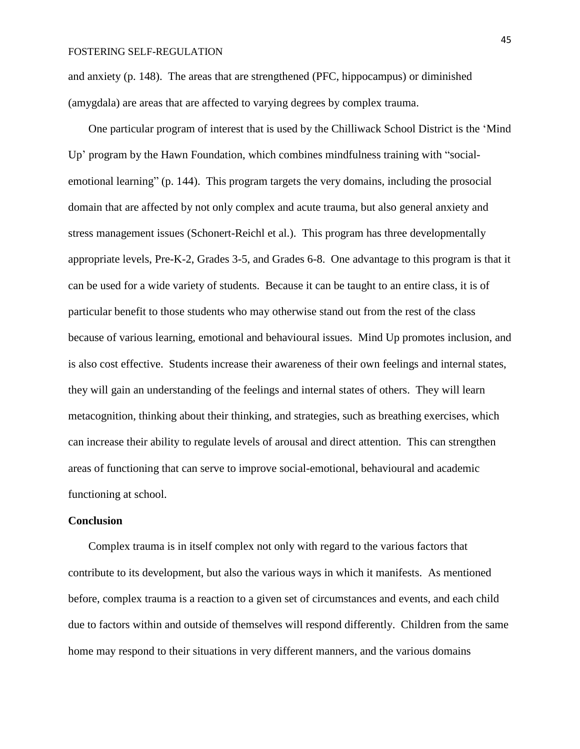and anxiety (p. 148). The areas that are strengthened (PFC, hippocampus) or diminished (amygdala) are areas that are affected to varying degrees by complex trauma.

One particular program of interest that is used by the Chilliwack School District is the 'Mind Up' program by the Hawn Foundation, which combines mindfulness training with "socialemotional learning" (p. 144). This program targets the very domains, including the prosocial domain that are affected by not only complex and acute trauma, but also general anxiety and stress management issues (Schonert-Reichl et al.). This program has three developmentally appropriate levels, Pre-K-2, Grades 3-5, and Grades 6-8. One advantage to this program is that it can be used for a wide variety of students. Because it can be taught to an entire class, it is of particular benefit to those students who may otherwise stand out from the rest of the class because of various learning, emotional and behavioural issues. Mind Up promotes inclusion, and is also cost effective. Students increase their awareness of their own feelings and internal states, they will gain an understanding of the feelings and internal states of others. They will learn metacognition, thinking about their thinking, and strategies, such as breathing exercises, which can increase their ability to regulate levels of arousal and direct attention. This can strengthen areas of functioning that can serve to improve social-emotional, behavioural and academic functioning at school.

## **Conclusion**

Complex trauma is in itself complex not only with regard to the various factors that contribute to its development, but also the various ways in which it manifests. As mentioned before, complex trauma is a reaction to a given set of circumstances and events, and each child due to factors within and outside of themselves will respond differently. Children from the same home may respond to their situations in very different manners, and the various domains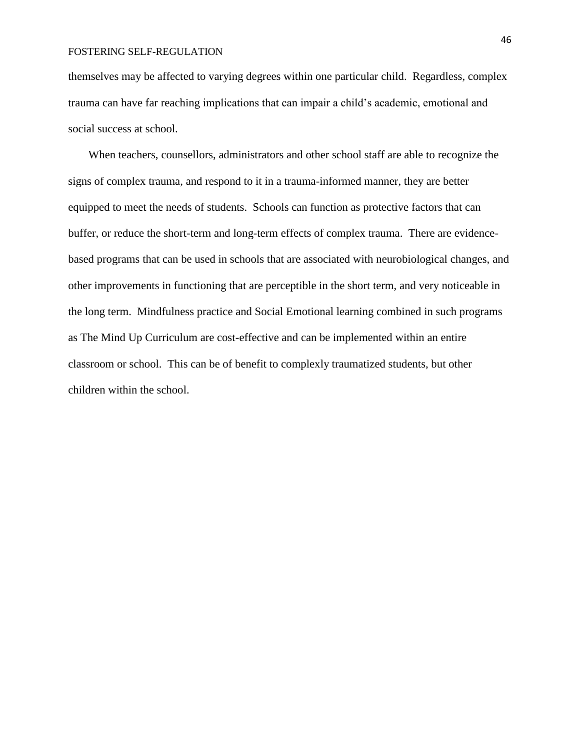themselves may be affected to varying degrees within one particular child. Regardless, complex trauma can have far reaching implications that can impair a child's academic, emotional and social success at school.

When teachers, counsellors, administrators and other school staff are able to recognize the signs of complex trauma, and respond to it in a trauma-informed manner, they are better equipped to meet the needs of students. Schools can function as protective factors that can buffer, or reduce the short-term and long-term effects of complex trauma. There are evidencebased programs that can be used in schools that are associated with neurobiological changes, and other improvements in functioning that are perceptible in the short term, and very noticeable in the long term. Mindfulness practice and Social Emotional learning combined in such programs as The Mind Up Curriculum are cost-effective and can be implemented within an entire classroom or school. This can be of benefit to complexly traumatized students, but other children within the school.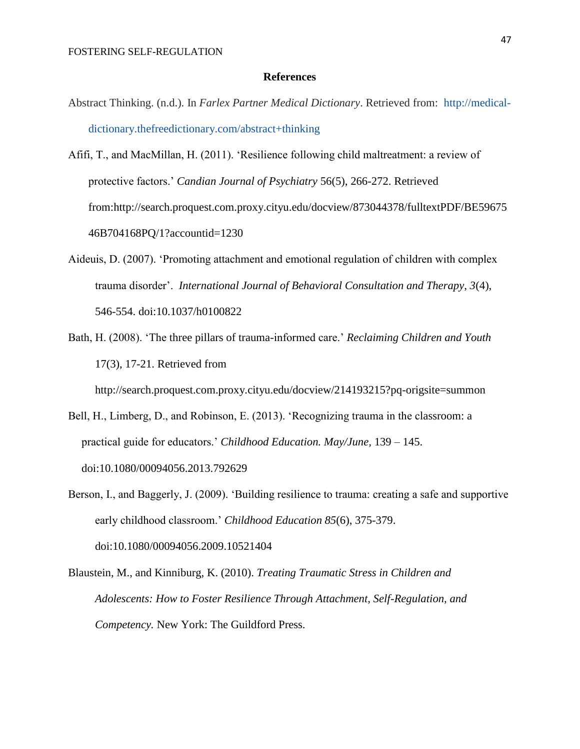## **References**

- Abstract Thinking. (n.d.). In *Farlex Partner Medical Dictionary*. Retrieved from: [http://medical](http://www.alleydog.com/glossary/definition.php?term=Abstract%20Thinking)[dictionary.thefreedictionary.com/abstract+thinking](http://www.alleydog.com/glossary/definition.php?term=Abstract%20Thinking)
- Afifi, T., and MacMillan, H. (2011). 'Resilience following child maltreatment: a review of protective factors.' *Candian Journal of Psychiatry* 56(5), 266-272. Retrieved from:http://search.proquest.com.proxy.cityu.edu/docview/873044378/fulltextPDF/BE59675 46B704168PQ/1?accountid=1230
- Aideuis, D. (2007). 'Promoting attachment and emotional regulation of children with complex trauma disorder'. *International Journal of Behavioral Consultation and Therapy, 3*(4), 546-554. doi:10.1037/h0100822
- Bath, H. (2008). 'The three pillars of trauma-informed care.' *Reclaiming Children and Youth*  17(3), 17-21. Retrieved from

http://search.proquest.com.proxy.cityu.edu/docview/214193215?pq-origsite=summon

- Bell, H., Limberg, D., and Robinson, E. (2013). 'Recognizing trauma in the classroom: a practical guide for educators.' *Childhood Education. May/June,* 139 – 145. doi:10.1080/00094056.2013.792629
- Berson, I., and Baggerly, J. (2009). 'Building resilience to trauma: creating a safe and supportive early childhood classroom.' *Childhood Education 85*(6), 375-379. doi:10.1080/00094056.2009.10521404
- Blaustein, M., and Kinniburg, K. (2010). *Treating Traumatic Stress in Children and Adolescents: How to Foster Resilience Through Attachment, Self-Regulation, and Competency.* New York: The Guildford Press.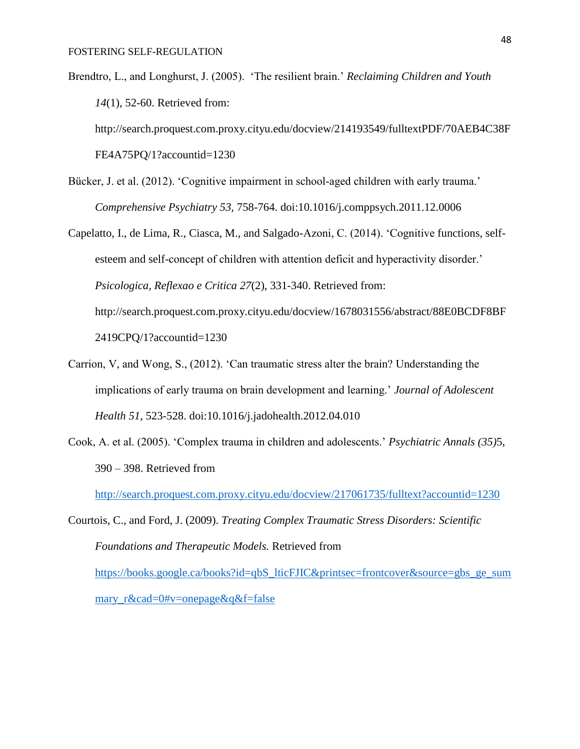Brendtro, L., and Longhurst, J. (2005). 'The resilient brain.' *Reclaiming Children and Youth 14*(1), 52-60. Retrieved from:

http://search.proquest.com.proxy.cityu.edu/docview/214193549/fulltextPDF/70AEB4C38F FE4A75PQ/1?accountid=1230

- Bücker, J. et al. (2012). 'Cognitive impairment in school-aged children with early trauma.' *Comprehensive Psychiatry 53,* 758-764. doi:10.1016/j.comppsych.2011.12.0006
- Capelatto, I., de Lima, R., Ciasca, M., and Salgado-Azoni, C. (2014). 'Cognitive functions, selfesteem and self-concept of children with attention deficit and hyperactivity disorder.' *Psicologica, Reflexao e Critica 27*(2), 331-340. Retrieved from: http://search.proquest.com.proxy.cityu.edu/docview/1678031556/abstract/88E0BCDF8BF 2419CPQ/1?accountid=1230
- Carrion, V, and Wong, S., (2012). 'Can traumatic stress alter the brain? Understanding the implications of early trauma on brain development and learning.' *Journal of Adolescent Health 51*, 523-528. doi:10.1016/j.jadohealth.2012.04.010
- Cook, A. et al. (2005). 'Complex trauma in children and adolescents.' *Psychiatric Annals (35)*5, 390 – 398. Retrieved from

<http://search.proquest.com.proxy.cityu.edu/docview/217061735/fulltext?accountid=1230>

Courtois, C., and Ford, J. (2009). *Treating Complex Traumatic Stress Disorders: Scientific Foundations and Therapeutic Models.* Retrieved from [https://books.google.ca/books?id=qbS\\_lticFJIC&printsec=frontcover&source=gbs\\_ge\\_sum](https://books.google.ca/books?id=qbS_lticFJIC&printsec=frontcover&source=gbs_ge_summary_r&cad=0#v=onepage&q&f=false) [mary\\_r&cad=0#v=onepage&q&f=false](https://books.google.ca/books?id=qbS_lticFJIC&printsec=frontcover&source=gbs_ge_summary_r&cad=0#v=onepage&q&f=false)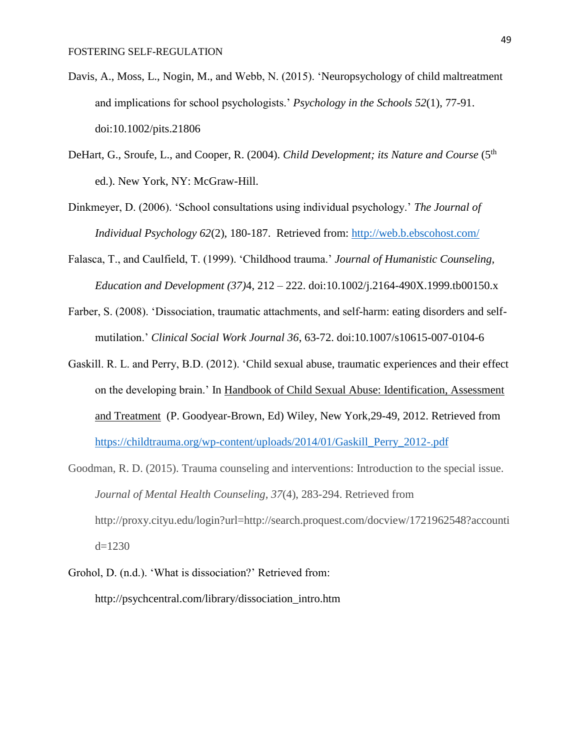- Davis, A., Moss, L., Nogin, M., and Webb, N. (2015). 'Neuropsychology of child maltreatment and implications for school psychologists.' *Psychology in the Schools 52*(1), 77-91. doi:10.1002/pits.21806
- DeHart, G., Sroufe, L., and Cooper, R. (2004). *Child Development; its Nature and Course* (5<sup>th</sup> ed.). New York, NY: McGraw-Hill.
- Dinkmeyer, D. (2006). 'School consultations using individual psychology.' *The Journal of Individual Psychology 62*(2), 180-187. Retrieved from:<http://web.b.ebscohost.com/>
- Falasca, T., and Caulfield, T. (1999). 'Childhood trauma.' *Journal of Humanistic Counseling, Education and Development (37)*4, 212 – 222. doi:10.1002/j.2164-490X.1999.tb00150.x
- Farber, S. (2008). 'Dissociation, traumatic attachments, and self-harm: eating disorders and selfmutilation.' *Clinical Social Work Journal 36*, 63-72. doi:10.1007/s10615-007-0104-6
- Gaskill. R. L. and Perry, B.D. (2012). 'Child sexual abuse, traumatic experiences and their effect on the developing brain.' In Handbook of Child Sexual Abuse: Identification, Assessment and Treatment (P. Goodyear-Brown, Ed) Wiley, New York,29-49, 2012. Retrieved from [https://childtrauma.org/wp-content/uploads/2014/01/Gaskill\\_Perry\\_2012-.pdf](https://childtrauma.org/wp-content/uploads/2014/01/Gaskill_Perry_2012-.pdf)
- Goodman, R. D. (2015). Trauma counseling and interventions: Introduction to the special issue. *Journal of Mental Health Counseling, 37*(4), 283-294. Retrieved from http://proxy.cityu.edu/login?url=http://search.proquest.com/docview/1721962548?accounti  $d=1230$
- Grohol, D. (n.d.). 'What is dissociation?' Retrieved from: http://psychcentral.com/library/dissociation\_intro.htm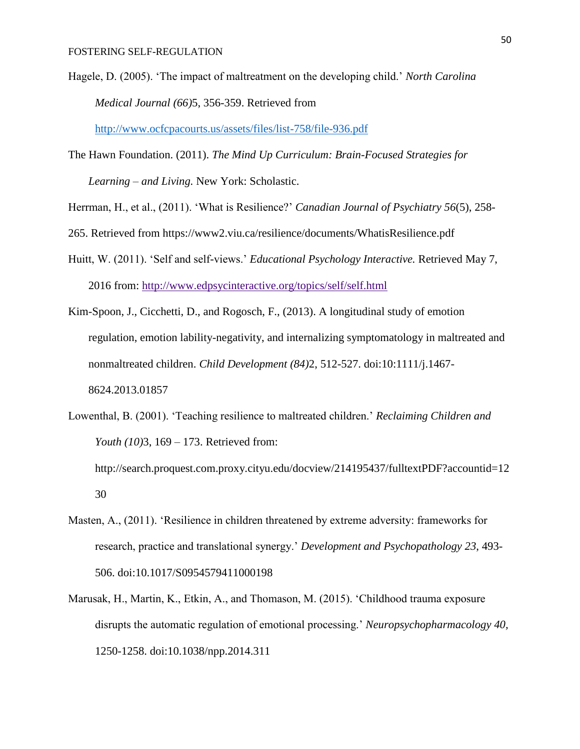Hagele, D. (2005). 'The impact of maltreatment on the developing child.' *North Carolina Medical Journal (66)*5, 356-359. Retrieved from

<http://www.ocfcpacourts.us/assets/files/list-758/file-936.pdf>

- The Hawn Foundation. (2011). *The Mind Up Curriculum: Brain-Focused Strategies for Learning – and Living.* New York: Scholastic.
- Herrman, H., et al., (2011). 'What is Resilience?' *Canadian Journal of Psychiatry 56*(5), 258-
- 265. Retrieved from https://www2.viu.ca/resilience/documents/WhatisResilience.pdf
- Huitt, W. (2011). 'Self and self-views.' *Educational Psychology Interactive.* Retrieved May 7, 2016 from: http://www.edpsycinteractive.org/topics/self/self.html
- Kim-Spoon, J., Cicchetti, D., and Rogosch, F., (2013). A longitudinal study of emotion regulation, emotion lability-negativity, and internalizing symptomatology in maltreated and nonmaltreated children. *Child Development (84)*2, 512-527. doi:10:1111/j.1467- 8624.2013.01857
- Lowenthal, B. (2001). 'Teaching resilience to maltreated children.' *Reclaiming Children and Youth (10)*3, 169 – 173. Retrieved from: http://search.proquest.com.proxy.cityu.edu/docview/214195437/fulltextPDF?accountid=12 30
- Masten, A., (2011). 'Resilience in children threatened by extreme adversity: frameworks for research, practice and translational synergy.' *Development and Psychopathology 23*, 493- 506. doi:10.1017/S0954579411000198
- Marusak, H., Martin, K., Etkin, A., and Thomason, M. (2015). 'Childhood trauma exposure disrupts the automatic regulation of emotional processing.' *Neuropsychopharmacology 40,*  1250-1258. doi:10.1038/npp.2014.311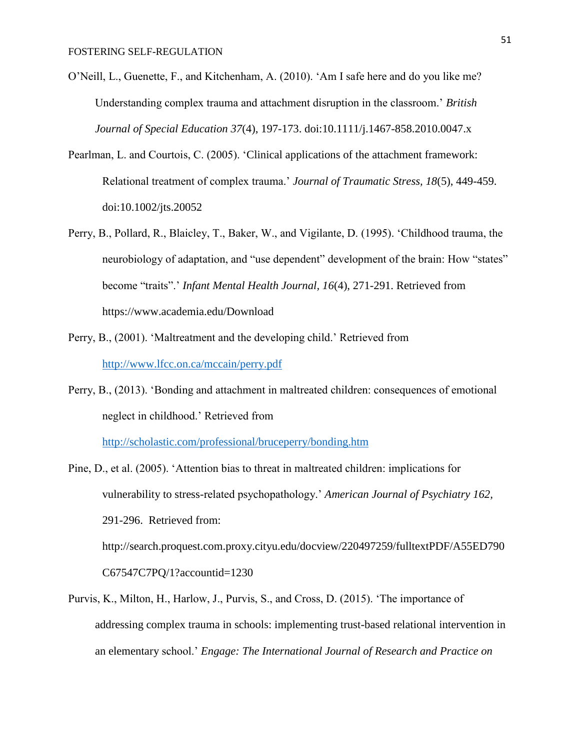- O'Neill, L., Guenette, F., and Kitchenham, A. (2010). 'Am I safe here and do you like me? Understanding complex trauma and attachment disruption in the classroom.' *British Journal of Special Education 37*(4), 197-173. doi:10.1111/j.1467-858.2010.0047.x
- Pearlman, L. and Courtois, C. (2005). 'Clinical applications of the attachment framework: Relational treatment of complex trauma.' *Journal of Traumatic Stress, 18*(5), 449-459. doi:10.1002/jts.20052
- Perry, B., Pollard, R., Blaicley, T., Baker, W., and Vigilante, D. (1995). 'Childhood trauma, the neurobiology of adaptation, and "use dependent" development of the brain: How "states" become "traits".' *Infant Mental Health Journal, 16*(4), 271-291. Retrieved from https://www.academia.edu/Download
- Perry, B., (2001). 'Maltreatment and the developing child.' Retrieved from <http://www.lfcc.on.ca/mccain/perry.pdf>
- Perry, B., (2013). 'Bonding and attachment in maltreated children: consequences of emotional neglect in childhood.' Retrieved from

<http://scholastic.com/professional/bruceperry/bonding.htm>

- Pine, D., et al. (2005). 'Attention bias to threat in maltreated children: implications for vulnerability to stress-related psychopathology.' *American Journal of Psychiatry 162,* 291-296. Retrieved from: http://search.proquest.com.proxy.cityu.edu/docview/220497259/fulltextPDF/A55ED790 C67547C7PQ/1?accountid=1230
- Purvis, K., Milton, H., Harlow, J., Purvis, S., and Cross, D. (2015). 'The importance of addressing complex trauma in schools: implementing trust-based relational intervention in an elementary school.' *Engage: The International Journal of Research and Practice on*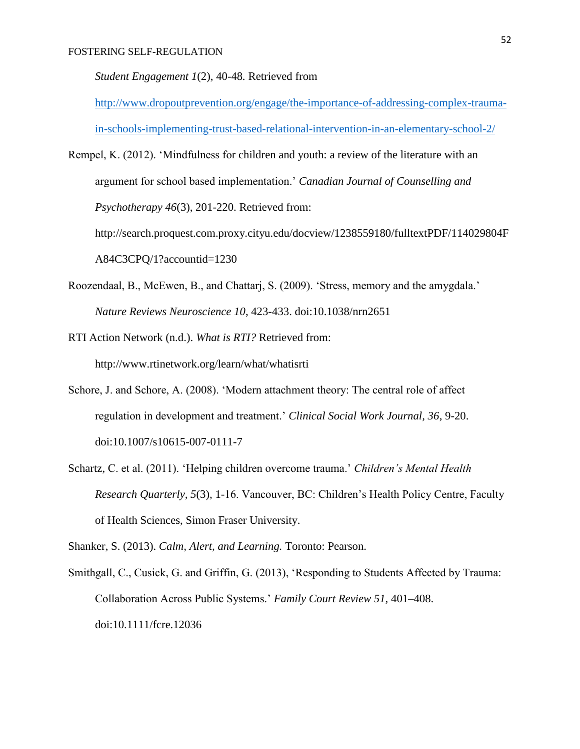*Student Engagement 1*(2), 40-48*.* Retrieved from

[http://www.dropoutprevention.org/engage/the-importance-of-addressing-complex-trauma](http://www.dropoutprevention.org/engage/the-importance-of-addressing-complex-trauma-in-schools-implementing-trust-based-relational-intervention-in-an-elementary-school-2/)[in-schools-implementing-trust-based-relational-intervention-in-an-elementary-school-2/](http://www.dropoutprevention.org/engage/the-importance-of-addressing-complex-trauma-in-schools-implementing-trust-based-relational-intervention-in-an-elementary-school-2/)

Rempel, K. (2012). 'Mindfulness for children and youth: a review of the literature with an argument for school based implementation.' *Canadian Journal of Counselling and Psychotherapy 46*(3), 201-220. Retrieved from:

http://search.proquest.com.proxy.cityu.edu/docview/1238559180/fulltextPDF/114029804F A84C3CPQ/1?accountid=1230

- Roozendaal, B., McEwen, B., and Chattarj, S. (2009). 'Stress, memory and the amygdala.' *Nature Reviews Neuroscience 10*, 423-433. doi:10.1038/nrn2651
- RTI Action Network (n.d.). *What is RTI?* Retrieved from: http://www.rtinetwork.org/learn/what/whatisrti
- Schore, J. and Schore, A. (2008). 'Modern attachment theory: The central role of affect regulation in development and treatment.' *Clinical Social Work Journal, 36*, 9-20. doi:10.1007/s10615-007-0111-7
- Schartz, C. et al. (2011). 'Helping children overcome trauma.' *Children's Mental Health Research Quarterly, 5*(3)*,* 1-16. Vancouver, BC: Children's Health Policy Centre, Faculty of Health Sciences, Simon Fraser University.

Shanker, S. (2013). *Calm, Alert, and Learning.* Toronto: Pearson.

Smithgall, C., Cusick, G. and Griffin, G. (2013), 'Responding to Students Affected by Trauma: Collaboration Across Public Systems.' *Family Court Review 51,* 401–408. doi:10.1111/fcre.12036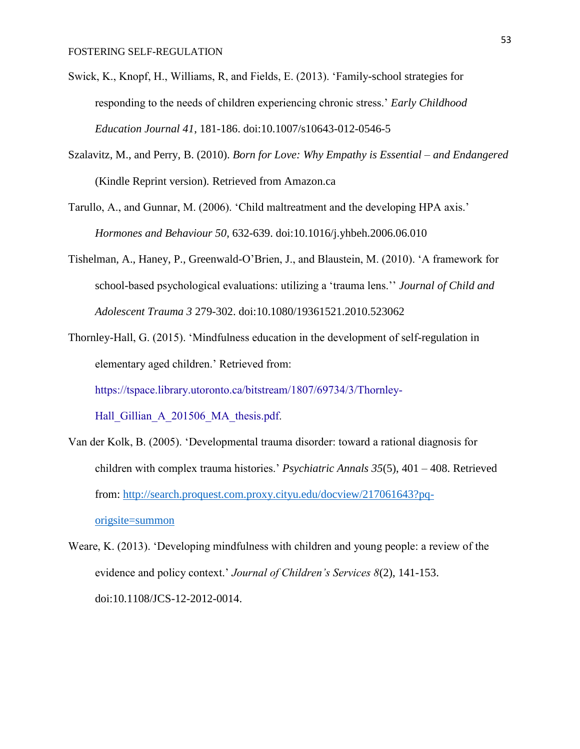- Swick, K., Knopf, H., Williams, R, and Fields, E. (2013). 'Family-school strategies for responding to the needs of children experiencing chronic stress.' *Early Childhood Education Journal 41*, 181-186. doi:10.1007/s10643-012-0546-5
- Szalavitz, M., and Perry, B. (2010). *Born for Love: Why Empathy is Essential – and Endangered*  (Kindle Reprint version)*.* Retrieved from Amazon.ca
- Tarullo, A., and Gunnar, M. (2006). 'Child maltreatment and the developing HPA axis.' *Hormones and Behaviour 50*, 632-639. doi:10.1016/j.yhbeh.2006.06.010
- Tishelman, A., Haney, P., Greenwald-O'Brien, J., and Blaustein, M. (2010). 'A framework for school-based psychological evaluations: utilizing a 'trauma lens.'' *Journal of Child and Adolescent Trauma 3* 279-302. doi:10.1080/19361521.2010.523062
- Thornley-Hall, G. (2015). 'Mindfulness education in the development of self-regulation in elementary aged children.' Retrieved from: [https://tspace.library.utoronto.ca/bitstream/1807/69734/3/Thornley-](https://tspace.library.utoronto.ca/bitstream/1807/69734/3/Thornley-Hall_Gillian_A_201506_MA_thesis.pdf)Hall Gillian A 201506 MA thesis.pdf.
- Van der Kolk, B. (2005). 'Developmental trauma disorder: toward a rational diagnosis for children with complex trauma histories.' *Psychiatric Annals 35*(5), 401 – 408. Retrieved from: [http://search.proquest.com.proxy.cityu.edu/docview/217061643?pq](http://search.proquest.com.proxy.cityu.edu/docview/217061643?pq-origsite=summon)[origsite=summon](http://search.proquest.com.proxy.cityu.edu/docview/217061643?pq-origsite=summon)
- Weare, K. (2013). 'Developing mindfulness with children and young people: a review of the evidence and policy context.' *Journal of Children's Services 8*(2), 141-153. doi:10.1108/JCS-12-2012-0014.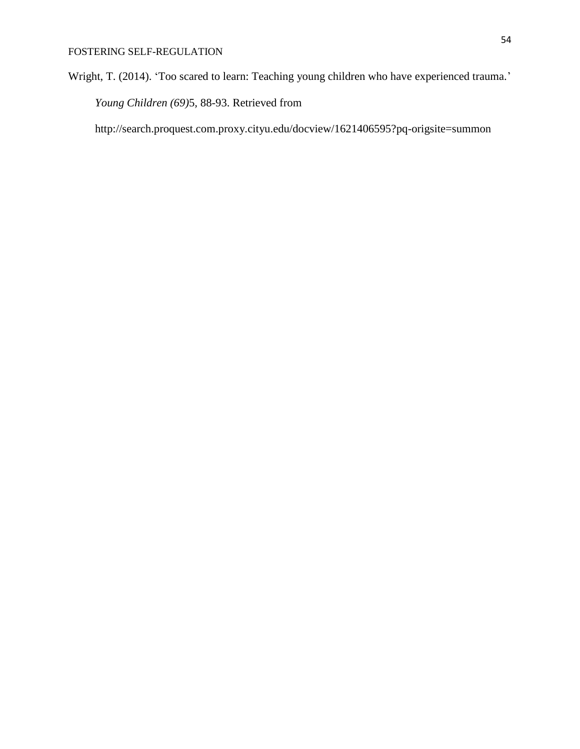Wright, T. (2014). 'Too scared to learn: Teaching young children who have experienced trauma.' *Young Children (69)*5*,* 88-93. Retrieved from

http://search.proquest.com.proxy.cityu.edu/docview/1621406595?pq-origsite=summon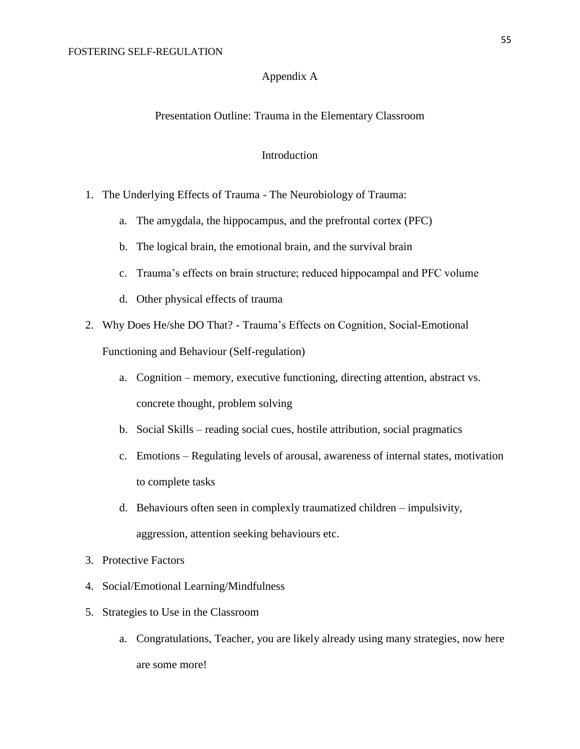## Appendix A

## Presentation Outline: Trauma in the Elementary Classroom

## Introduction

- 1. The Underlying Effects of Trauma The Neurobiology of Trauma:
	- a. The amygdala, the hippocampus, and the prefrontal cortex (PFC)
	- b. The logical brain, the emotional brain, and the survival brain
	- c. Trauma's effects on brain structure; reduced hippocampal and PFC volume
	- d. Other physical effects of trauma
- 2. Why Does He/she DO That? Trauma's Effects on Cognition, Social-Emotional Functioning and Behaviour (Self-regulation)
	- a. Cognition memory, executive functioning, directing attention, abstract vs. concrete thought, problem solving
	- b. Social Skills reading social cues, hostile attribution, social pragmatics
	- c. Emotions Regulating levels of arousal, awareness of internal states, motivation to complete tasks
	- d. Behaviours often seen in complexly traumatized children impulsivity, aggression, attention seeking behaviours etc.
- 3. Protective Factors
- 4. Social/Emotional Learning/Mindfulness
- 5. Strategies to Use in the Classroom
	- a. Congratulations, Teacher, you are likely already using many strategies, now here are some more!